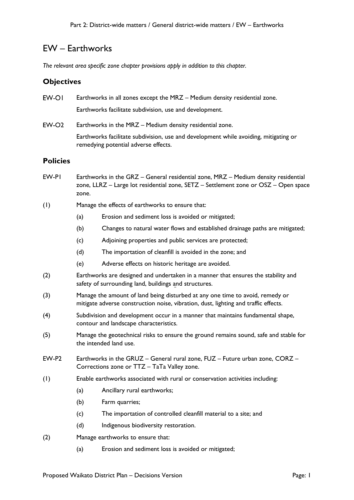# EW – Earthworks

*The relevant area specific zone chapter provisions apply in addition to this chapter.*

#### **Objectives**

| EW-OI           | Earthworks in all zones except the MRZ - Medium density residential zone.                                                    |
|-----------------|------------------------------------------------------------------------------------------------------------------------------|
|                 | Earthworks facilitate subdivision, use and development.                                                                      |
| EW-O2           | Earthworks in the MRZ – Medium density residential zone.                                                                     |
|                 | Earthworks facilitate subdivision, use and development while avoiding, mitigating or<br>remedying potential adverse effects. |
| <b>Policies</b> |                                                                                                                              |
| EW-PI           | Earthworks in the GRZ - General residential zone, MRZ - Medium density residential                                           |

zone, LLRZ – Large lot residential zone, SETZ – Settlement zone or OSZ – Open space zone.

#### (1) Manage the effects of earthworks to ensure that:

- (a) Erosion and sediment loss is avoided or mitigated;
- (b) Changes to natural water flows and established drainage paths are mitigated;
- (c) Adjoining properties and public services are protected;
- (d) The importation of cleanfill is avoided in the zone; and
- (e) Adverse effects on historic heritage are avoided.
- (2) Earthworks are designed and undertaken in a manner that ensures the stability and safety of surrounding land, buildings and structures.
- (3) Manage the amount of land being disturbed at any one time to avoid, remedy or mitigate adverse construction noise, vibration, dust, lighting and traffic effects.
- (4) Subdivision and development occur in a manner that maintains fundamental shape, contour and landscape characteristics.
- (5) Manage the geotechnical risks to ensure the ground remains sound, safe and stable for the intended land use.
- EW-P2 Earthworks in the GRUZ General rural zone, FUZ Future urban zone, CORZ Corrections zone or TTZ – TaTa Valley zone.
- (1) Enable earthworks associated with rural or conservation activities including:
	- (a) Ancillary rural earthworks;
	- (b) Farm quarries;
	- (c) The importation of controlled cleanfill material to a site; and
	- (d) Indigenous biodiversity restoration.
- (2) Manage earthworks to ensure that:
	- (a) Erosion and sediment loss is avoided or mitigated;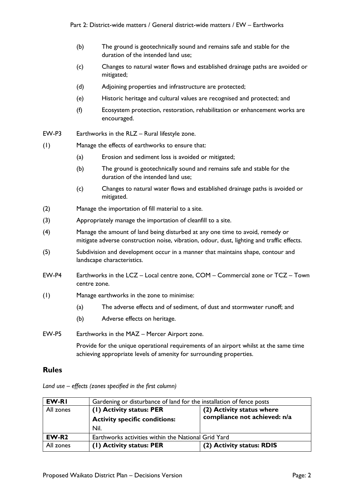- (b) The ground is geotechnically sound and remains safe and stable for the duration of the intended land use;
- (c) Changes to natural water flows and established drainage paths are avoided or mitigated;
- (d) Adjoining properties and infrastructure are protected;
- (e) Historic heritage and cultural values are recognised and protected; and
- (f) Ecosystem protection, restoration, rehabilitation or enhancement works are encouraged.
- EW-P3 Earthworks in the RLZ Rural lifestyle zone.
- (1) Manage the effects of earthworks to ensure that:
	- (a) Erosion and sediment loss is avoided or mitigated;
	- (b) The ground is geotechnically sound and remains safe and stable for the duration of the intended land use;
	- (c) Changes to natural water flows and established drainage paths is avoided or mitigated.
- (2) Manage the importation of fill material to a site.
- (3) Appropriately manage the importation of cleanfill to a site.
- (4) Manage the amount of land being disturbed at any one time to avoid, remedy or mitigate adverse construction noise, vibration, odour, dust, lighting and traffic effects.
- (5) Subdivision and development occur in a manner that maintains shape, contour and landscape characteristics.
- EW-P4 Earthworks in the LCZ Local centre zone, COM Commercial zone or TCZ Town centre zone.
- (1) Manage earthworks in the zone to minimise:
	- (a) The adverse effects and of sediment, of dust and stormwater runoff; and
	- (b) Adverse effects on heritage.
- EW-P5 Earthworks in the MAZ Mercer Airport zone.

Provide for the unique operational requirements of an airport whilst at the same time achieving appropriate levels of amenity for surrounding properties.

#### **Rules**

| EW-RI     | Gardening or disturbance of land for the installation of fence posts |                              |
|-----------|----------------------------------------------------------------------|------------------------------|
| All zones | (2) Activity status where<br>(1) Activity status: PER                |                              |
|           | <b>Activity specific conditions:</b>                                 | compliance not achieved: n/a |
|           | Nil.                                                                 |                              |
| $EW-R2$   | Earthworks activities within the National Grid Yard                  |                              |
| All zones | (I) Activity status: PER                                             | (2) Activity status: RDIS    |

*Land use – effects (zones specified in the first column)*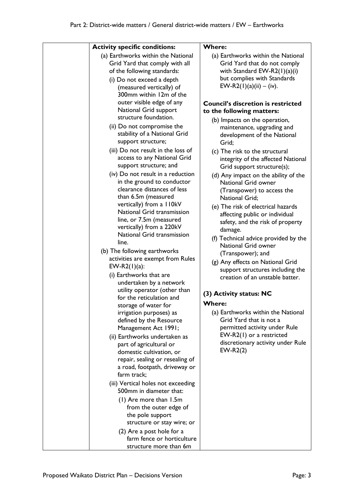| <b>Activity specific conditions:</b>                                                                                                                                                                                                                                                                                                                                                                                                                                                                                                                                                                                                                                                                                                                                                                                                                                                                                                                                                                                                                                                                                                                                                                                                                                                                   | <b>Where:</b>                                                                                                                                                                                                                                                                                                                                                                                                                                                                                                                                                                                                                                                                                                                                                                                                                                                                                                                                                |
|--------------------------------------------------------------------------------------------------------------------------------------------------------------------------------------------------------------------------------------------------------------------------------------------------------------------------------------------------------------------------------------------------------------------------------------------------------------------------------------------------------------------------------------------------------------------------------------------------------------------------------------------------------------------------------------------------------------------------------------------------------------------------------------------------------------------------------------------------------------------------------------------------------------------------------------------------------------------------------------------------------------------------------------------------------------------------------------------------------------------------------------------------------------------------------------------------------------------------------------------------------------------------------------------------------|--------------------------------------------------------------------------------------------------------------------------------------------------------------------------------------------------------------------------------------------------------------------------------------------------------------------------------------------------------------------------------------------------------------------------------------------------------------------------------------------------------------------------------------------------------------------------------------------------------------------------------------------------------------------------------------------------------------------------------------------------------------------------------------------------------------------------------------------------------------------------------------------------------------------------------------------------------------|
| (a) Earthworks within the National<br>Grid Yard that comply with all<br>of the following standards:<br>(i) Do not exceed a depth<br>(measured vertically) of<br>300mm within 12m of the                                                                                                                                                                                                                                                                                                                                                                                                                                                                                                                                                                                                                                                                                                                                                                                                                                                                                                                                                                                                                                                                                                                | (a) Earthworks within the National<br>Grid Yard that do not comply<br>with Standard EW-R2 $(1)(a)(i)$<br>but complies with Standards<br>EW-R2(1)(a)(ii) – (iv).                                                                                                                                                                                                                                                                                                                                                                                                                                                                                                                                                                                                                                                                                                                                                                                              |
| outer visible edge of any<br>National Grid support<br>structure foundation.<br>(ii) Do not compromise the<br>stability of a National Grid<br>support structure;<br>(iii) Do not result in the loss of<br>access to any National Grid<br>support structure; and<br>(iv) Do not result in a reduction<br>in the ground to conductor<br>clearance distances of less<br>than 6.5m (measured<br>vertically) from a 110kV<br>National Grid transmission<br>line, or 7.5m (measured<br>vertically) from a 220kV<br>National Grid transmission<br>line.<br>(b) The following earthworks<br>activities are exempt from Rules<br>EW-R2 $(1)(a)$ :<br>(i) Earthworks that are<br>undertaken by a network<br>utility operator (other than<br>for the reticulation and<br>storage of water for<br>irrigation purposes) as<br>defined by the Resource<br>Management Act 1991;<br>(ii) Earthworks undertaken as<br>part of agricultural or<br>domestic cultivation, or<br>repair, sealing or resealing of<br>a road, footpath, driveway or<br>farm track;<br>(iii) Vertical holes not exceeding<br>500mm in diameter that:<br>(1) Are more than 1.5m<br>from the outer edge of<br>the pole support<br>structure or stay wire; or<br>(2) Are a post hole for a<br>farm fence or horticulture<br>structure more than 6m | <b>Council's discretion is restricted</b><br>to the following matters:<br>(b) Impacts on the operation,<br>maintenance, upgrading and<br>development of the National<br>Grid;<br>(c) The risk to the structural<br>integrity of the affected National<br>Grid support structure(s);<br>(d) Any impact on the ability of the<br>National Grid owner<br>(Transpower) to access the<br><b>National Grid;</b><br>(e) The risk of electrical hazards<br>affecting public or individual<br>safety, and the risk of property<br>damage.<br>(f) Technical advice provided by the<br>National Grid owner<br>(Transpower); and<br>(g) Any effects on National Grid<br>support structures including the<br>creation of an unstable batter.<br>(3) Activity status: NC<br><b>Where:</b><br>(a) Earthworks within the National<br>Grid Yard that is not a<br>permitted activity under Rule<br>EW-R2(1) or a restricted<br>discretionary activity under Rule<br>$EW-R2(2)$ |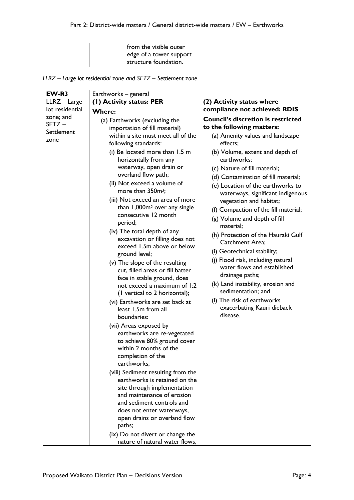| from the visible outer  |  |
|-------------------------|--|
| edge of a tower support |  |
| structure foundation.   |  |

## *LLRZ – Large lot residential zone and SETZ – Settlement zone*

| EW-R3                                    | Earthworks - general                                                                                                                                                                                                                                                                                                                                                                                                                                                                                                                                                                                                                                                                                                                                                                       |                                                                                                                                                                                                                                                                                                                                                                                                                                                                                                                                                                                                                                                                                                                                                                    |
|------------------------------------------|--------------------------------------------------------------------------------------------------------------------------------------------------------------------------------------------------------------------------------------------------------------------------------------------------------------------------------------------------------------------------------------------------------------------------------------------------------------------------------------------------------------------------------------------------------------------------------------------------------------------------------------------------------------------------------------------------------------------------------------------------------------------------------------------|--------------------------------------------------------------------------------------------------------------------------------------------------------------------------------------------------------------------------------------------------------------------------------------------------------------------------------------------------------------------------------------------------------------------------------------------------------------------------------------------------------------------------------------------------------------------------------------------------------------------------------------------------------------------------------------------------------------------------------------------------------------------|
| LLRZ - Large                             | (I) Activity status: PER                                                                                                                                                                                                                                                                                                                                                                                                                                                                                                                                                                                                                                                                                                                                                                   | (2) Activity status where                                                                                                                                                                                                                                                                                                                                                                                                                                                                                                                                                                                                                                                                                                                                          |
| lot residential                          | <b>Where:</b>                                                                                                                                                                                                                                                                                                                                                                                                                                                                                                                                                                                                                                                                                                                                                                              | compliance not achieved: RDIS                                                                                                                                                                                                                                                                                                                                                                                                                                                                                                                                                                                                                                                                                                                                      |
| zone; and<br>SETZ-<br>Settlement<br>zone | (a) Earthworks (excluding the<br>importation of fill material)<br>within a site must meet all of the<br>following standards:<br>(i) Be located more than 1.5 m<br>horizontally from any<br>waterway, open drain or<br>overland flow path;<br>(ii) Not exceed a volume of<br>more than 350m <sup>3</sup> ;<br>(iii) Not exceed an area of more<br>than 1,000m <sup>2</sup> over any single<br>consecutive 12 month<br>period;<br>(iv) The total depth of any<br>excavation or filling does not<br>exceed 1.5m above or below<br>ground level;<br>(v) The slope of the resulting<br>cut, filled areas or fill batter<br>face in stable ground, does<br>not exceed a maximum of 1:2<br>(I vertical to 2 horizontal);<br>(vi) Earthworks are set back at<br>least 1.5m from all<br>boundaries: | <b>Council's discretion is restricted</b><br>to the following matters:<br>(a) Amenity values and landscape<br>effects;<br>(b) Volume, extent and depth of<br>earthworks;<br>(c) Nature of fill material;<br>(d) Contamination of fill material;<br>(e) Location of the earthworks to<br>waterways, significant indigenous<br>vegetation and habitat;<br>(f) Compaction of the fill material;<br>(g) Volume and depth of fill<br>material:<br>(h) Protection of the Hauraki Gulf<br><b>Catchment Area:</b><br>(i) Geotechnical stability;<br>(j) Flood risk, including natural<br>water flows and established<br>drainage paths;<br>(k) Land instability, erosion and<br>sedimentation; and<br>(I) The risk of earthworks<br>exacerbating Kauri dieback<br>disease. |
|                                          | (vii) Areas exposed by<br>earthworks are re-vegetated<br>to achieve 80% ground cover<br>within 2 months of the<br>completion of the<br>earthworks;<br>(viii) Sediment resulting from the<br>earthworks is retained on the<br>site through implementation<br>and maintenance of erosion<br>and sediment controls and<br>does not enter waterways,<br>open drains or overland flow<br>paths;<br>(ix) Do not divert or change the<br>nature of natural water flows,                                                                                                                                                                                                                                                                                                                           |                                                                                                                                                                                                                                                                                                                                                                                                                                                                                                                                                                                                                                                                                                                                                                    |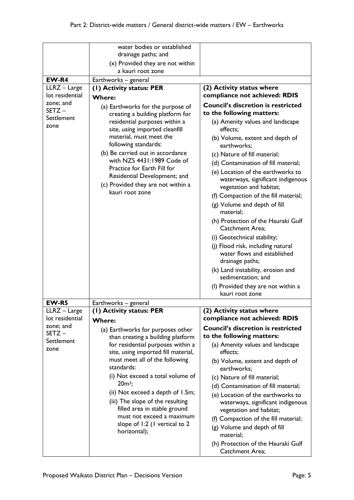|                                 | water bodies or established                                              |                                                                        |
|---------------------------------|--------------------------------------------------------------------------|------------------------------------------------------------------------|
|                                 | drainage paths; and                                                      |                                                                        |
|                                 | (x) Provided they are not within<br>a kauri root zone                    |                                                                        |
|                                 |                                                                          |                                                                        |
| EW-R4                           | Earthworks - general                                                     |                                                                        |
| LLRZ - Large<br>lot residential | (I) Activity status: PER                                                 | (2) Activity status where<br>compliance not achieved: RDIS             |
| zone; and                       | <b>Where:</b>                                                            |                                                                        |
| SETZ-                           | (a) Earthworks for the purpose of                                        | <b>Council's discretion is restricted</b>                              |
| Settlement                      | creating a building platform for                                         | to the following matters:                                              |
| zone                            | residential purposes within a<br>site, using imported cleanfill          | (a) Amenity values and landscape<br>effects;                           |
|                                 | material, must meet the<br>following standards:                          | (b) Volume, extent and depth of<br>earthworks;                         |
|                                 | (b) Be carried out in accordance                                         | (c) Nature of fill material;                                           |
|                                 | with NZS 4431:1989 Code of                                               | (d) Contamination of fill material;                                    |
|                                 | Practice for Earth Fill for                                              | (e) Location of the earthworks to                                      |
|                                 | Residential Development; and<br>(c) Provided they are not within a       | waterways, significant indigenous                                      |
|                                 | kauri root zone                                                          | vegetation and habitat;                                                |
|                                 |                                                                          | (f) Compaction of the fill material;                                   |
|                                 |                                                                          | (g) Volume and depth of fill<br>material;                              |
|                                 |                                                                          | (h) Protection of the Hauraki Gulf<br><b>Catchment Area;</b>           |
|                                 |                                                                          | (i) Geotechnical stability;                                            |
|                                 |                                                                          |                                                                        |
|                                 |                                                                          | (j) Flood risk, including natural<br>water flows and established       |
|                                 |                                                                          | drainage paths;                                                        |
|                                 |                                                                          | (k) Land instability, erosion and                                      |
|                                 |                                                                          | sedimentation; and                                                     |
|                                 |                                                                          | (I) Provided they are not within a                                     |
|                                 |                                                                          | kauri root zone                                                        |
| EW-R5                           | Earthworks - general                                                     |                                                                        |
| LLRZ - Large                    | (1) Activity status: PER                                                 | (2) Activity status where                                              |
| lot residential                 | <b>Where:</b>                                                            | compliance not achieved: RDIS                                          |
| zone; and<br>SETZ-              | (a) Earthworks for purposes other<br>than creating a building platform   | <b>Council's discretion is restricted</b><br>to the following matters: |
| Settlement<br>zone              | for residential purposes within a<br>site, using imported fill material, | (a) Amenity values and landscape<br>effects;                           |
|                                 | must meet all of the following                                           | (b) Volume, extent and depth of                                        |
|                                 | standards:                                                               | earthworks;                                                            |
|                                 | (i) Not exceed a total volume of                                         | (c) Nature of fill material;                                           |
|                                 | $20m^3$ ;                                                                | (d) Contamination of fill material;                                    |
|                                 | (ii) Not exceed a depth of 1.5m;<br>(iii) The slope of the resulting     | (e) Location of the earthworks to<br>waterways, significant indigenous |
|                                 | filled area in stable ground                                             | vegetation and habitat;                                                |
|                                 | must not exceed a maximum                                                | (f) Compaction of the fill material;                                   |
|                                 | slope of 1:2 (I vertical to 2<br>horizontal);                            | (g) Volume and depth of fill<br>material;                              |
|                                 |                                                                          | (h) Protection of the Hauraki Gulf                                     |
|                                 |                                                                          | Catchment Area;                                                        |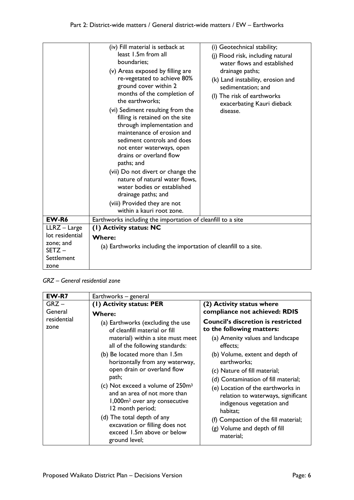|                                     | (iv) Fill material is setback at<br>least 1.5m from all<br>boundaries;<br>(v) Areas exposed by filling are<br>re-vegetated to achieve 80%<br>ground cover within 2<br>months of the completion of<br>the earthworks;<br>(vi) Sediment resulting from the<br>filling is retained on the site<br>through implementation and<br>maintenance of erosion and<br>sediment controls and does<br>not enter waterways, open<br>drains or overland flow<br>paths; and<br>(vii) Do not divert or change the<br>nature of natural water flows,<br>water bodies or established<br>drainage paths; and<br>(viii) Provided they are not<br>within a kauri root zone. | (i) Geotechnical stability;<br>(j) Flood risk, including natural<br>water flows and established<br>drainage paths;<br>(k) Land instability, erosion and<br>sedimentation; and<br>(I) The risk of earthworks<br>exacerbating Kauri dieback<br>disease. |
|-------------------------------------|-------------------------------------------------------------------------------------------------------------------------------------------------------------------------------------------------------------------------------------------------------------------------------------------------------------------------------------------------------------------------------------------------------------------------------------------------------------------------------------------------------------------------------------------------------------------------------------------------------------------------------------------------------|-------------------------------------------------------------------------------------------------------------------------------------------------------------------------------------------------------------------------------------------------------|
| EW-R6                               | Earthworks including the importation of cleanfill to a site                                                                                                                                                                                                                                                                                                                                                                                                                                                                                                                                                                                           |                                                                                                                                                                                                                                                       |
| LLRZ - Large                        | (1) Activity status: NC                                                                                                                                                                                                                                                                                                                                                                                                                                                                                                                                                                                                                               |                                                                                                                                                                                                                                                       |
| lot residential                     | <b>Where:</b>                                                                                                                                                                                                                                                                                                                                                                                                                                                                                                                                                                                                                                         |                                                                                                                                                                                                                                                       |
| zone; and<br>$SETZ -$<br>Settlement | (a) Earthworks including the importation of cleanfill to a site.                                                                                                                                                                                                                                                                                                                                                                                                                                                                                                                                                                                      |                                                                                                                                                                                                                                                       |
| zone                                |                                                                                                                                                                                                                                                                                                                                                                                                                                                                                                                                                                                                                                                       |                                                                                                                                                                                                                                                       |

*GRZ – General residential zone*

| EW-R7               | Earthworks - general                                                                                                                                                                                                                                                                                                     |                                                                                                                                                                                                                                                                                   |
|---------------------|--------------------------------------------------------------------------------------------------------------------------------------------------------------------------------------------------------------------------------------------------------------------------------------------------------------------------|-----------------------------------------------------------------------------------------------------------------------------------------------------------------------------------------------------------------------------------------------------------------------------------|
| $GRZ -$<br>General  | (1) Activity status: PER<br><b>Where:</b>                                                                                                                                                                                                                                                                                | (2) Activity status where<br>compliance not achieved: RDIS                                                                                                                                                                                                                        |
| residential<br>zone | (a) Earthworks (excluding the use<br>of cleanfill material or fill                                                                                                                                                                                                                                                       | <b>Council's discretion is restricted</b><br>to the following matters:                                                                                                                                                                                                            |
|                     | material) within a site must meet<br>all of the following standards:                                                                                                                                                                                                                                                     | (a) Amenity values and landscape<br>effects:                                                                                                                                                                                                                                      |
|                     | (b) Be located more than 1.5m<br>horizontally from any waterway,<br>open drain or overland flow<br>path;<br>(c) Not exceed a volume of 250m <sup>3</sup><br>and an area of not more than<br>1,000m <sup>2</sup> over any consecutive<br>12 month period;<br>(d) The total depth of any<br>excavation or filling does not | (b) Volume, extent and depth of<br>earthworks;<br>(c) Nature of fill material;<br>(d) Contamination of fill material;<br>(e) Location of the earthworks in<br>relation to waterways, significant<br>indigenous vegetation and<br>habitat;<br>(f) Compaction of the fill material; |
|                     | exceed 1.5m above or below<br>ground level;                                                                                                                                                                                                                                                                              | (g) Volume and depth of fill<br>material;                                                                                                                                                                                                                                         |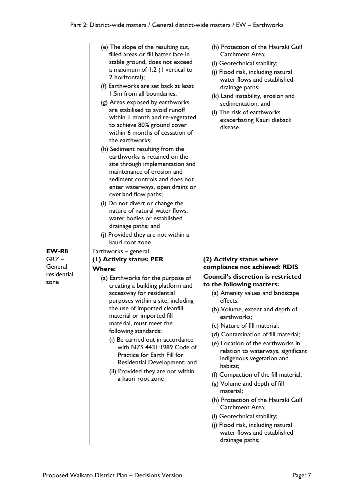|             | (e) The slope of the resulting cut,<br>filled areas or fill batter face in<br>stable ground, does not exceed<br>a maximum of 1:2 (1 vertical to<br>2 horizontal);<br>(f) Earthworks are set back at least<br>1.5m from all boundaries;<br>(g) Areas exposed by earthworks<br>are stabilised to avoid runoff<br>within I month and re-vegetated<br>to achieve 80% ground cover<br>within 6 months of cessation of<br>the earthworks;<br>(h) Sediment resulting from the<br>earthworks is retained on the<br>site through implementation and<br>maintenance of erosion and<br>sediment controls and does not<br>enter waterways, open drains or<br>overland flow paths;<br>(i) Do not divert or change the<br>nature of natural water flows,<br>water bodies or established<br>drainage paths; and<br>(j) Provided they are not within a | (h) Protection of the Hauraki Gulf<br><b>Catchment Area:</b><br>(i) Geotechnical stability;<br>(j) Flood risk, including natural<br>water flows and established<br>drainage paths;<br>(k) Land instability, erosion and<br>sedimentation; and<br>(I) The risk of earthworks<br>exacerbating Kauri dieback<br>disease. |
|-------------|----------------------------------------------------------------------------------------------------------------------------------------------------------------------------------------------------------------------------------------------------------------------------------------------------------------------------------------------------------------------------------------------------------------------------------------------------------------------------------------------------------------------------------------------------------------------------------------------------------------------------------------------------------------------------------------------------------------------------------------------------------------------------------------------------------------------------------------|-----------------------------------------------------------------------------------------------------------------------------------------------------------------------------------------------------------------------------------------------------------------------------------------------------------------------|
|             |                                                                                                                                                                                                                                                                                                                                                                                                                                                                                                                                                                                                                                                                                                                                                                                                                                        |                                                                                                                                                                                                                                                                                                                       |
|             | kauri root zone                                                                                                                                                                                                                                                                                                                                                                                                                                                                                                                                                                                                                                                                                                                                                                                                                        |                                                                                                                                                                                                                                                                                                                       |
| EW-R8       | Earthworks - general                                                                                                                                                                                                                                                                                                                                                                                                                                                                                                                                                                                                                                                                                                                                                                                                                   |                                                                                                                                                                                                                                                                                                                       |
| $GRZ -$     | (I) Activity status: PER                                                                                                                                                                                                                                                                                                                                                                                                                                                                                                                                                                                                                                                                                                                                                                                                               | (2) Activity status where                                                                                                                                                                                                                                                                                             |
| General     |                                                                                                                                                                                                                                                                                                                                                                                                                                                                                                                                                                                                                                                                                                                                                                                                                                        | compliance not achieved: RDIS                                                                                                                                                                                                                                                                                         |
| residential | <b>Where:</b>                                                                                                                                                                                                                                                                                                                                                                                                                                                                                                                                                                                                                                                                                                                                                                                                                          |                                                                                                                                                                                                                                                                                                                       |
| zone        | (a) Earthworks for the purpose of                                                                                                                                                                                                                                                                                                                                                                                                                                                                                                                                                                                                                                                                                                                                                                                                      | <b>Council's discretion is restricted</b>                                                                                                                                                                                                                                                                             |
|             | creating a building platform and                                                                                                                                                                                                                                                                                                                                                                                                                                                                                                                                                                                                                                                                                                                                                                                                       | to the following matters:                                                                                                                                                                                                                                                                                             |
|             | accessway for residential                                                                                                                                                                                                                                                                                                                                                                                                                                                                                                                                                                                                                                                                                                                                                                                                              | (a) Amenity values and landscape                                                                                                                                                                                                                                                                                      |
|             | purposes within a site, including                                                                                                                                                                                                                                                                                                                                                                                                                                                                                                                                                                                                                                                                                                                                                                                                      | effects;                                                                                                                                                                                                                                                                                                              |
|             | the use of imported cleanfill                                                                                                                                                                                                                                                                                                                                                                                                                                                                                                                                                                                                                                                                                                                                                                                                          | (b) Volume, extent and depth of                                                                                                                                                                                                                                                                                       |
|             | material or imported fill                                                                                                                                                                                                                                                                                                                                                                                                                                                                                                                                                                                                                                                                                                                                                                                                              | earthworks;                                                                                                                                                                                                                                                                                                           |
|             | material, must meet the                                                                                                                                                                                                                                                                                                                                                                                                                                                                                                                                                                                                                                                                                                                                                                                                                | (c) Nature of fill material;                                                                                                                                                                                                                                                                                          |
|             | following standards:                                                                                                                                                                                                                                                                                                                                                                                                                                                                                                                                                                                                                                                                                                                                                                                                                   | (d) Contamination of fill material;                                                                                                                                                                                                                                                                                   |
|             | (i) Be carried out in accordance<br>with NZS 4431:1989 Code of<br>Practice for Earth Fill for<br>Residential Development; and                                                                                                                                                                                                                                                                                                                                                                                                                                                                                                                                                                                                                                                                                                          | (e) Location of the earthworks in<br>relation to waterways, significant<br>indigenous vegetation and<br>habitat;                                                                                                                                                                                                      |
|             | (ii) Provided they are not within                                                                                                                                                                                                                                                                                                                                                                                                                                                                                                                                                                                                                                                                                                                                                                                                      | (f) Compaction of the fill material;                                                                                                                                                                                                                                                                                  |
|             | a kauri root zone                                                                                                                                                                                                                                                                                                                                                                                                                                                                                                                                                                                                                                                                                                                                                                                                                      | (g) Volume and depth of fill<br>material;                                                                                                                                                                                                                                                                             |
|             |                                                                                                                                                                                                                                                                                                                                                                                                                                                                                                                                                                                                                                                                                                                                                                                                                                        | (h) Protection of the Hauraki Gulf<br><b>Catchment Area;</b>                                                                                                                                                                                                                                                          |
|             |                                                                                                                                                                                                                                                                                                                                                                                                                                                                                                                                                                                                                                                                                                                                                                                                                                        | (i) Geotechnical stability;                                                                                                                                                                                                                                                                                           |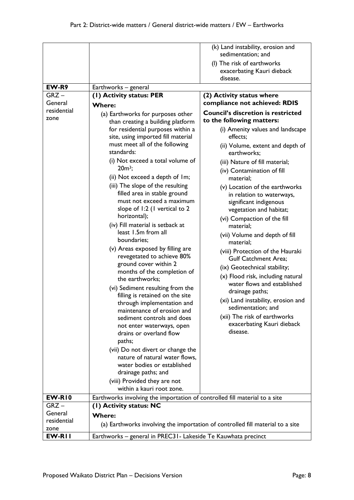|                          |                                                                                                       | (k) Land instability, erosion and<br>sedimentation; and                        |
|--------------------------|-------------------------------------------------------------------------------------------------------|--------------------------------------------------------------------------------|
|                          |                                                                                                       | (I) The risk of earthworks                                                     |
|                          |                                                                                                       | exacerbating Kauri dieback                                                     |
|                          |                                                                                                       | disease.                                                                       |
| EW-R9                    | Earthworks - general                                                                                  |                                                                                |
| $GRZ -$                  | (I) Activity status: PER                                                                              | (2) Activity status where                                                      |
| General                  | <b>Where:</b>                                                                                         | compliance not achieved: RDIS                                                  |
| residential              | (a) Earthworks for purposes other                                                                     | <b>Council's discretion is restricted</b>                                      |
| zone                     | than creating a building platform                                                                     | to the following matters:                                                      |
|                          | for residential purposes within a                                                                     | (i) Amenity values and landscape                                               |
|                          | site, using imported fill material                                                                    | effects;                                                                       |
|                          | must meet all of the following                                                                        | (ii) Volume, extent and depth of                                               |
|                          | standards:                                                                                            | earthworks;                                                                    |
|                          | (i) Not exceed a total volume of                                                                      | (iii) Nature of fill material;                                                 |
|                          | $20m^3$ ;                                                                                             | (iv) Contamination of fill                                                     |
|                          | (ii) Not exceed a depth of Im;                                                                        | material;                                                                      |
|                          | (iii) The slope of the resulting                                                                      | (v) Location of the earthworks                                                 |
|                          | filled area in stable ground<br>must not exceed a maximum                                             | in relation to waterways,                                                      |
|                          | slope of 1:2 (1 vertical to 2                                                                         | significant indigenous                                                         |
|                          | horizontal);                                                                                          | vegetation and habitat;                                                        |
|                          | (iv) Fill material is setback at                                                                      | (vi) Compaction of the fill<br>material;                                       |
|                          | least 1.5m from all                                                                                   | (vii) Volume and depth of fill                                                 |
|                          | boundaries;                                                                                           | material;                                                                      |
|                          | (v) Areas exposed by filling are                                                                      | (viii) Protection of the Hauraki                                               |
|                          | revegetated to achieve 80%                                                                            | <b>Gulf Catchment Area;</b>                                                    |
|                          | ground cover within 2                                                                                 | (ix) Geotechnical stability;                                                   |
|                          | months of the completion of                                                                           | (x) Flood risk, including natural                                              |
|                          | the earthworks;                                                                                       | water flows and established                                                    |
|                          | (vi) Sediment resulting from the                                                                      | drainage paths;                                                                |
|                          | filling is retained on the site<br>through implementation and                                         | (xi) Land instability, erosion and                                             |
|                          | maintenance of erosion and                                                                            | sedimentation; and                                                             |
|                          | sediment controls and does                                                                            | (xii) The risk of earthworks                                                   |
|                          | not enter waterways, open                                                                             | exacerbating Kauri dieback                                                     |
|                          | drains or overland flow                                                                               | disease.                                                                       |
|                          | paths;                                                                                                |                                                                                |
|                          | (vii) Do not divert or change the                                                                     |                                                                                |
|                          | nature of natural water flows,                                                                        |                                                                                |
|                          | water bodies or established                                                                           |                                                                                |
|                          | drainage paths; and                                                                                   |                                                                                |
|                          | (viii) Provided they are not<br>within a kauri root zone.                                             |                                                                                |
|                          |                                                                                                       |                                                                                |
| <b>EW-R10</b><br>$GRZ -$ | Earthworks involving the importation of controlled fill material to a site<br>(1) Activity status: NC |                                                                                |
| General                  |                                                                                                       |                                                                                |
| residential              | <b>Where:</b>                                                                                         |                                                                                |
| zone                     |                                                                                                       | (a) Earthworks involving the importation of controlled fill material to a site |
| EW-RII                   | Earthworks - general in PREC31 - Lakeside Te Kauwhata precinct                                        |                                                                                |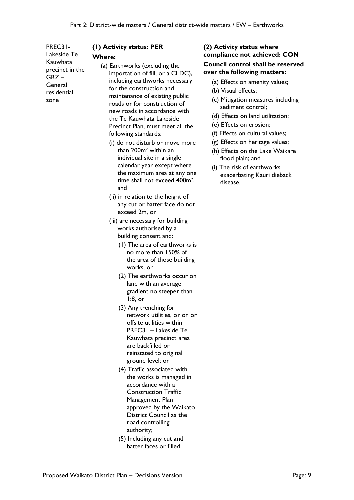| PREC31-         | (I) Activity status: PER                            | (2) Activity status where         |
|-----------------|-----------------------------------------------------|-----------------------------------|
| Lakeside Te     | <b>Where:</b>                                       | compliance not achieved: CON      |
| Kauwhata        | (a) Earthworks (excluding the                       | Council control shall be reserved |
| precinct in the | importation of fill, or a CLDC),                    | over the following matters:       |
| $GRZ -$         | including earthworks necessary                      | (a) Effects on amenity values;    |
| General         | for the construction and                            | (b) Visual effects;               |
| residential     | maintenance of existing public                      |                                   |
| zone            | roads or for construction of                        | (c) Mitigation measures including |
|                 | new roads in accordance with                        | sediment control;                 |
|                 | the Te Kauwhata Lakeside                            | (d) Effects on land utilization;  |
|                 | Precinct Plan, must meet all the                    | (e) Effects on erosion;           |
|                 | following standards:                                | (f) Effects on cultural values;   |
|                 | (i) do not disturb or move more                     | (g) Effects on heritage values;   |
|                 | than 200m <sup>2</sup> within an                    | (h) Effects on the Lake Waikare   |
|                 | individual site in a single                         | flood plain; and                  |
|                 | calendar year except where                          | (i) The risk of earthworks        |
|                 | the maximum area at any one                         | exacerbating Kauri dieback        |
|                 | time shall not exceed 400m <sup>2</sup> ,           | disease.                          |
|                 | and                                                 |                                   |
|                 | (ii) in relation to the height of                   |                                   |
|                 | any cut or batter face do not                       |                                   |
|                 | exceed 2m, or                                       |                                   |
|                 | (iii) are necessary for building                    |                                   |
|                 | works authorised by a                               |                                   |
|                 | building consent and:                               |                                   |
|                 | (1) The area of earthworks is                       |                                   |
|                 | no more than 150% of                                |                                   |
|                 | the area of those building                          |                                   |
|                 | works, or                                           |                                   |
|                 | (2) The earthworks occur on                         |                                   |
|                 | land with an average                                |                                   |
|                 | gradient no steeper than                            |                                   |
|                 | $1:8$ , or                                          |                                   |
|                 | (3) Any trenching for                               |                                   |
|                 | network utilities, or on or                         |                                   |
|                 | offsite utilities within                            |                                   |
|                 | PREC31 - Lakeside Te                                |                                   |
|                 | Kauwhata precinct area                              |                                   |
|                 | are backfilled or                                   |                                   |
|                 | reinstated to original                              |                                   |
|                 | ground level; or                                    |                                   |
|                 | (4) Traffic associated with                         |                                   |
|                 | the works is managed in                             |                                   |
|                 | accordance with a                                   |                                   |
|                 | <b>Construction Traffic</b>                         |                                   |
|                 | Management Plan                                     |                                   |
|                 | approved by the Waikato                             |                                   |
|                 | District Council as the                             |                                   |
|                 | road controlling                                    |                                   |
|                 | authority;                                          |                                   |
|                 | (5) Including any cut and<br>batter faces or filled |                                   |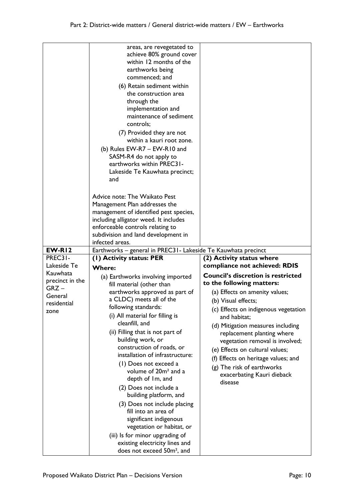|                                                                          | areas, are revegetated to<br>achieve 80% ground cover<br>within 12 months of the<br>earthworks being<br>commenced; and<br>(6) Retain sediment within<br>the construction area<br>through the<br>implementation and<br>maintenance of sediment<br>controls;<br>(7) Provided they are not<br>within a kauri root zone.<br>(b) Rules EW-R7 - EW-R10 and<br>SASM-R4 do not apply to<br>earthworks within PREC31-<br>Lakeside Te Kauwhata precinct;<br>and<br>Advice note: The Waikato Pest<br>Management Plan addresses the<br>management of identified pest species,<br>including alligator weed. It includes<br>enforceable controls relating to<br>subdivision and land development in                 |                                                                                                                                                                                                                                                                                                                                                                                                                                                |
|--------------------------------------------------------------------------|-------------------------------------------------------------------------------------------------------------------------------------------------------------------------------------------------------------------------------------------------------------------------------------------------------------------------------------------------------------------------------------------------------------------------------------------------------------------------------------------------------------------------------------------------------------------------------------------------------------------------------------------------------------------------------------------------------|------------------------------------------------------------------------------------------------------------------------------------------------------------------------------------------------------------------------------------------------------------------------------------------------------------------------------------------------------------------------------------------------------------------------------------------------|
|                                                                          | infected areas.                                                                                                                                                                                                                                                                                                                                                                                                                                                                                                                                                                                                                                                                                       |                                                                                                                                                                                                                                                                                                                                                                                                                                                |
| EW-RI2                                                                   | Earthworks - general in PREC31 - Lakeside Te Kauwhata precinct                                                                                                                                                                                                                                                                                                                                                                                                                                                                                                                                                                                                                                        |                                                                                                                                                                                                                                                                                                                                                                                                                                                |
| PREC31-                                                                  | (1) Activity status: PER                                                                                                                                                                                                                                                                                                                                                                                                                                                                                                                                                                                                                                                                              | (2) Activity status where                                                                                                                                                                                                                                                                                                                                                                                                                      |
| Lakeside Te                                                              | <b>Where:</b>                                                                                                                                                                                                                                                                                                                                                                                                                                                                                                                                                                                                                                                                                         | compliance not achieved: RDIS                                                                                                                                                                                                                                                                                                                                                                                                                  |
| Kauwhata<br>precinct in the<br>$GRZ -$<br>General<br>residential<br>zone | (a) Earthworks involving imported<br>fill material (other than<br>earthworks approved as part of<br>a CLDC) meets all of the<br>following standards:<br>(i) All material for filling is<br>cleanfill, and<br>(ii) Filling that is not part of<br>building work, or<br>construction of roads, or<br>installation of infrastructure:<br>(1) Does not exceed a<br>volume of 20m <sup>2</sup> and a<br>depth of Im, and<br>(2) Does not include a<br>building platform, and<br>(3) Does not include placing<br>fill into an area of<br>significant indigenous<br>vegetation or habitat, or<br>(iii) Is for minor upgrading of<br>existing electricity lines and<br>does not exceed 50m <sup>2</sup> , and | <b>Council's discretion is restricted</b><br>to the following matters:<br>(a) Effects on amenity values;<br>(b) Visual effects;<br>(c) Effects on indigenous vegetation<br>and habitat;<br>(d) Mitigation measures including<br>replacement planting where<br>vegetation removal is involved;<br>(e) Effects on cultural values;<br>(f) Effects on heritage values; and<br>(g) The risk of earthworks<br>exacerbating Kauri dieback<br>disease |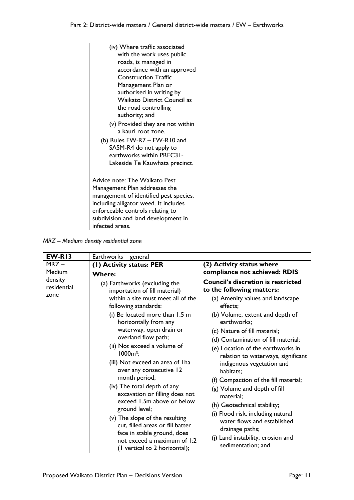| (iv) Where traffic associated<br>with the work uses public<br>roads, is managed in<br>accordance with an approved<br><b>Construction Traffic</b><br>Management Plan or<br>authorised in writing by<br>Waikato District Council as<br>the road controlling<br>authority; and<br>(v) Provided they are not within<br>a kauri root zone.<br>(b) Rules EW-R7 - EW-R10 and<br>SASM-R4 do not apply to |  |
|--------------------------------------------------------------------------------------------------------------------------------------------------------------------------------------------------------------------------------------------------------------------------------------------------------------------------------------------------------------------------------------------------|--|
| earthworks within PREC31-<br>Lakeside Te Kauwhata precinct.<br>Advice note: The Waikato Pest                                                                                                                                                                                                                                                                                                     |  |
| Management Plan addresses the<br>management of identified pest species,<br>including alligator weed. It includes<br>enforceable controls relating to<br>subdivision and land development in<br>infected areas.                                                                                                                                                                                   |  |

*MRZ – Medium density residential zone*

| EW-RI3                         | Earthworks - general                                                                                                                                                                                                                                                                                                                                                                                                                                                                                                                                                                                                                                         |                                                                                                                                                                                                                                                                                                                                                                                                                                                                                                                                                                                                                                            |
|--------------------------------|--------------------------------------------------------------------------------------------------------------------------------------------------------------------------------------------------------------------------------------------------------------------------------------------------------------------------------------------------------------------------------------------------------------------------------------------------------------------------------------------------------------------------------------------------------------------------------------------------------------------------------------------------------------|--------------------------------------------------------------------------------------------------------------------------------------------------------------------------------------------------------------------------------------------------------------------------------------------------------------------------------------------------------------------------------------------------------------------------------------------------------------------------------------------------------------------------------------------------------------------------------------------------------------------------------------------|
| $MRZ -$<br>Medium              | (1) Activity status: PER<br><b>Where:</b>                                                                                                                                                                                                                                                                                                                                                                                                                                                                                                                                                                                                                    | (2) Activity status where<br>compliance not achieved: RDIS                                                                                                                                                                                                                                                                                                                                                                                                                                                                                                                                                                                 |
| density<br>residential<br>zone | (a) Earthworks (excluding the<br>importation of fill material)<br>within a site must meet all of the<br>following standards:<br>(i) Be located more than 1.5 m<br>horizontally from any<br>waterway, open drain or<br>overland flow path;<br>(ii) Not exceed a volume of<br>$1000m^3$ ;<br>(iii) Not exceed an area of I ha<br>over any consecutive 12<br>month period;<br>(iv) The total depth of any<br>excavation or filling does not<br>exceed 1.5m above or below<br>ground level;<br>(v) The slope of the resulting<br>cut, filled areas or fill batter<br>face in stable ground, does<br>not exceed a maximum of 1:2<br>(I vertical to 2 horizontal); | <b>Council's discretion is restricted</b><br>to the following matters:<br>(a) Amenity values and landscape<br>effects:<br>(b) Volume, extent and depth of<br>earthworks;<br>(c) Nature of fill material;<br>(d) Contamination of fill material;<br>(e) Location of the earthworks in<br>relation to waterways, significant<br>indigenous vegetation and<br>habitats;<br>(f) Compaction of the fill material;<br>(g) Volume and depth of fill<br>material;<br>(h) Geotechnical stability;<br>(i) Flood risk, including natural<br>water flows and established<br>drainage paths;<br>(j) Land instability, erosion and<br>sedimentation; and |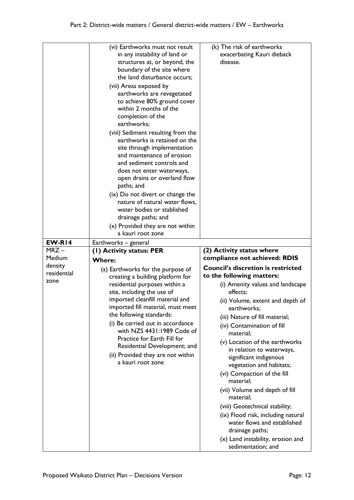|                   | (vi) Earthworks must not result                                       | (k) The risk of earthworks                                             |
|-------------------|-----------------------------------------------------------------------|------------------------------------------------------------------------|
|                   | in any instability of land or                                         | exacerbating Kauri dieback                                             |
|                   | structures at, or beyond, the                                         | disease.                                                               |
|                   | boundary of the site where<br>the land disturbance occurs;            |                                                                        |
|                   | (vii) Areas exposed by                                                |                                                                        |
|                   | earthworks are revegetated                                            |                                                                        |
|                   | to achieve 80% ground cover                                           |                                                                        |
|                   | within 2 months of the                                                |                                                                        |
|                   | completion of the<br>earthworks;                                      |                                                                        |
|                   | (viii) Sediment resulting from the                                    |                                                                        |
|                   | earthworks is retained on the                                         |                                                                        |
|                   | site through implementation                                           |                                                                        |
|                   | and maintenance of erosion<br>and sediment controls and               |                                                                        |
|                   | does not enter waterways,                                             |                                                                        |
|                   | open drains or overland flow                                          |                                                                        |
|                   | paths; and                                                            |                                                                        |
|                   | (ix) Do not divert or change the<br>nature of natural water flows,    |                                                                        |
|                   | water bodies or stablished                                            |                                                                        |
|                   | drainage paths; and                                                   |                                                                        |
|                   | (x) Provided they are not within                                      |                                                                        |
|                   | a kauri root zone                                                     |                                                                        |
| EW-R14            | Earthworks - general                                                  |                                                                        |
|                   |                                                                       |                                                                        |
| $MRZ -$           | (I) Activity status: PER                                              | (2) Activity status where                                              |
| Medium<br>density | <b>Where:</b>                                                         | compliance not achieved: RDIS                                          |
| residential       | (a) Earthworks for the purpose of<br>creating a building platform for | <b>Council's discretion is restricted</b><br>to the following matters: |
| zone              | residential purposes within a                                         | (i) Amenity values and landscape                                       |
|                   | site, including the use of                                            | effects;                                                               |
|                   | imported cleanfill material and                                       | (ii) Volume, extent and depth of                                       |
|                   | imported fill material, must meet<br>the following standards:         | earthworks;                                                            |
|                   | (i) Be carried out in accordance                                      | (iii) Nature of fill material;<br>(iv) Contamination of fill           |
|                   | with NZS 4431:1989 Code of                                            | material;                                                              |
|                   | Practice for Earth Fill for<br>Residential Development; and           | (v) Location of the earthworks                                         |
|                   | (ii) Provided they are not within                                     | in relation to waterways,                                              |
|                   | a kauri root zone                                                     | significant indigenous<br>vegetation and habitats;                     |
|                   |                                                                       | (vi) Compaction of the fill                                            |
|                   |                                                                       | material;                                                              |
|                   |                                                                       | (vii) Volume and depth of fill<br>material;                            |
|                   |                                                                       | (viii) Geotechnical stability;                                         |
|                   |                                                                       | (ix) Flood risk, including natural                                     |
|                   |                                                                       | water flows and established                                            |
|                   |                                                                       | drainage paths;<br>(x) Land instability, erosion and                   |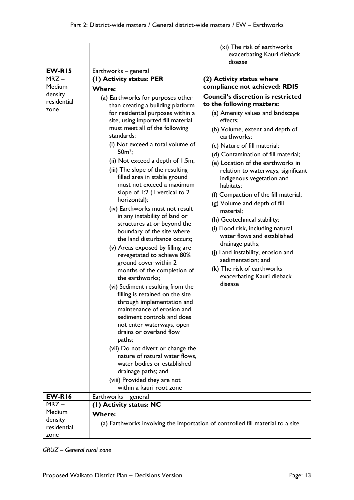|                                                                 |                                                                                                                                                                                                                                                                                                                                                                                                                                                                                                                                                                                                                                                                                                                                                                                         | (xi) The risk of earthworks<br>exacerbating Kauri dieback<br>disease                                                                                                                                                                                                                                                                                                                                                               |
|-----------------------------------------------------------------|-----------------------------------------------------------------------------------------------------------------------------------------------------------------------------------------------------------------------------------------------------------------------------------------------------------------------------------------------------------------------------------------------------------------------------------------------------------------------------------------------------------------------------------------------------------------------------------------------------------------------------------------------------------------------------------------------------------------------------------------------------------------------------------------|------------------------------------------------------------------------------------------------------------------------------------------------------------------------------------------------------------------------------------------------------------------------------------------------------------------------------------------------------------------------------------------------------------------------------------|
|                                                                 |                                                                                                                                                                                                                                                                                                                                                                                                                                                                                                                                                                                                                                                                                                                                                                                         |                                                                                                                                                                                                                                                                                                                                                                                                                                    |
| $EW-R15$<br>$MRZ -$<br>Medium<br>density<br>residential<br>zone | Earthworks - general<br>(1) Activity status: PER<br><b>Where:</b><br>(a) Earthworks for purposes other<br>than creating a building platform<br>for residential purposes within a<br>site, using imported fill material<br>must meet all of the following<br>standards:<br>(i) Not exceed a total volume of<br>$50m3$ ;<br>(ii) Not exceed a depth of 1.5m;<br>(iii) The slope of the resulting<br>filled area in stable ground<br>must not exceed a maximum                                                                                                                                                                                                                                                                                                                             | (2) Activity status where<br>compliance not achieved: RDIS<br><b>Council's discretion is restricted</b><br>to the following matters:<br>(a) Amenity values and landscape<br>effects:<br>(b) Volume, extent and depth of<br>earthworks;<br>(c) Nature of fill material;<br>(d) Contamination of fill material;<br>(e) Location of the earthworks in<br>relation to waterways, significant<br>indigenous vegetation and<br>habitats; |
|                                                                 | slope of 1:2 (1 vertical to 2<br>horizontal);<br>(iv) Earthworks must not result<br>in any instability of land or<br>structures at or beyond the<br>boundary of the site where<br>the land disturbance occurs;<br>(v) Areas exposed by filling are<br>revegetated to achieve 80%<br>ground cover within 2<br>months of the completion of<br>the earthworks;<br>(vi) Sediment resulting from the<br>filling is retained on the site<br>through implementation and<br>maintenance of erosion and<br>sediment controls and does<br>not enter waterways, open<br>drains or overland flow<br>paths;<br>(vii) Do not divert or change the<br>nature of natural water flows,<br>water bodies or established<br>drainage paths; and<br>(viii) Provided they are not<br>within a kauri root zone | (f) Compaction of the fill material;<br>(g) Volume and depth of fill<br>material;<br>(h) Geotechnical stability;<br>(i) Flood risk, including natural<br>water flows and established<br>drainage paths;<br>(j) Land instability, erosion and<br>sedimentation; and<br>(k) The risk of earthworks<br>exacerbating Kauri dieback<br>disease                                                                                          |
| <b>EW-R16</b>                                                   | Earthworks - general                                                                                                                                                                                                                                                                                                                                                                                                                                                                                                                                                                                                                                                                                                                                                                    |                                                                                                                                                                                                                                                                                                                                                                                                                                    |
| $MRZ -$                                                         | (1) Activity status: NC                                                                                                                                                                                                                                                                                                                                                                                                                                                                                                                                                                                                                                                                                                                                                                 |                                                                                                                                                                                                                                                                                                                                                                                                                                    |
| Medium<br>density<br>residential<br>zone                        | <b>Where:</b>                                                                                                                                                                                                                                                                                                                                                                                                                                                                                                                                                                                                                                                                                                                                                                           | (a) Earthworks involving the importation of controlled fill material to a site.                                                                                                                                                                                                                                                                                                                                                    |

*GRUZ – General rural zone*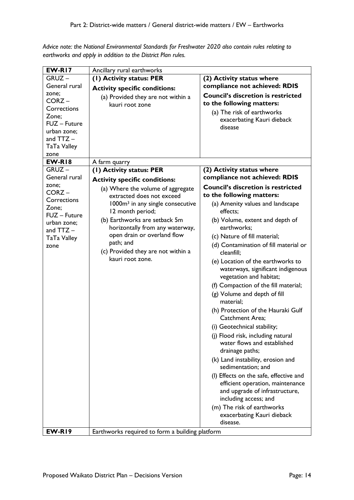*Advice note: the National Environmental Standards for Freshwater 2020 also contain rules relating to earthworks and apply in addition to the District Plan rules.*

| <b>EW-R17</b>                                                            | Ancillary rural earthworks                                       |                                                                                                                                               |
|--------------------------------------------------------------------------|------------------------------------------------------------------|-----------------------------------------------------------------------------------------------------------------------------------------------|
| $GRUZ -$                                                                 | (1) Activity status: PER                                         | (2) Activity status where                                                                                                                     |
| General rural                                                            | <b>Activity specific conditions:</b>                             | compliance not achieved: RDIS                                                                                                                 |
| zone;<br>$CORZ -$<br>Corrections<br>Zone;<br>FUZ - Future<br>urban zone; | (a) Provided they are not within a<br>kauri root zone            | <b>Council's discretion is restricted</b><br>to the following matters:<br>(a) The risk of earthworks<br>exacerbating Kauri dieback<br>disease |
| and $TTZ -$                                                              |                                                                  |                                                                                                                                               |
| TaTa Valley                                                              |                                                                  |                                                                                                                                               |
| zone<br><b>EW-R18</b>                                                    | A farm quarry                                                    |                                                                                                                                               |
| $GRUZ -$                                                                 | (1) Activity status: PER                                         | (2) Activity status where                                                                                                                     |
| General rural                                                            |                                                                  | compliance not achieved: RDIS                                                                                                                 |
| zone;                                                                    | <b>Activity specific conditions:</b>                             | <b>Council's discretion is restricted</b>                                                                                                     |
| $CORZ -$                                                                 | (a) Where the volume of aggregate<br>extracted does not exceed   | to the following matters:                                                                                                                     |
| Corrections<br>Zone:<br>FUZ - Future                                     | 1000m <sup>3</sup> in any single consecutive<br>12 month period; | (a) Amenity values and landscape<br>effects:                                                                                                  |
| urban zone;<br>and $TTZ -$                                               | (b) Earthworks are setback 5m<br>horizontally from any waterway, | (b) Volume, extent and depth of<br>earthworks;                                                                                                |
| TaTa Valley                                                              | open drain or overland flow                                      | (c) Nature of fill material;                                                                                                                  |
| zone                                                                     | path; and<br>(c) Provided they are not within a                  | (d) Contamination of fill material or<br>cleanfill:                                                                                           |
|                                                                          | kauri root zone.                                                 | (e) Location of the earthworks to<br>waterways, significant indigenous<br>vegetation and habitat;                                             |
|                                                                          |                                                                  | (f) Compaction of the fill material;                                                                                                          |
|                                                                          |                                                                  | (g) Volume and depth of fill<br>material;                                                                                                     |
|                                                                          |                                                                  | (h) Protection of the Hauraki Gulf<br><b>Catchment Area:</b>                                                                                  |
|                                                                          |                                                                  | (i) Geotechnical stability;                                                                                                                   |
|                                                                          |                                                                  | (j) Flood risk, including natural<br>water flows and established<br>drainage paths;                                                           |
|                                                                          |                                                                  | (k) Land instability, erosion and<br>sedimentation; and                                                                                       |
|                                                                          |                                                                  | (I) Effects on the safe, effective and<br>efficient operation, maintenance<br>and upgrade of infrastructure,<br>including access; and         |
|                                                                          |                                                                  | (m) The risk of earthworks<br>exacerbating Kauri dieback<br>disease.                                                                          |
| EW-RI9                                                                   | Earthworks required to form a building platform                  |                                                                                                                                               |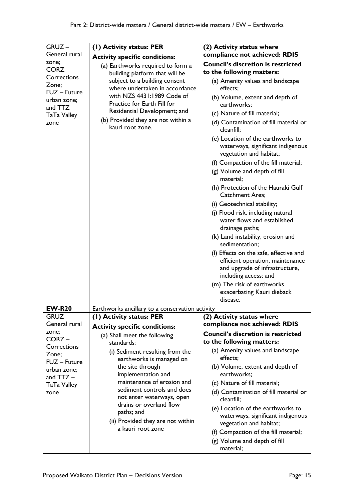| GRUZ-                                                     | (1) Activity status: PER                                                                  | (2) Activity status where                                                                                                             |
|-----------------------------------------------------------|-------------------------------------------------------------------------------------------|---------------------------------------------------------------------------------------------------------------------------------------|
| General rural                                             | <b>Activity specific conditions:</b>                                                      | compliance not achieved: RDIS                                                                                                         |
| zone;<br>CORZ-<br>Corrections                             | (a) Earthworks required to form a<br>building platform that will be                       | <b>Council's discretion is restricted</b><br>to the following matters:                                                                |
| Zone;                                                     | subject to a building consent<br>where undertaken in accordance                           | (a) Amenity values and landscape<br>effects:                                                                                          |
| FUZ - Future<br>urban zone;<br>and $TTZ -$<br>TaTa Valley | with NZS 4431:1989 Code of<br>Practice for Earth Fill for<br>Residential Development; and | (b) Volume, extent and depth of<br>earthworks;<br>(c) Nature of fill material;                                                        |
| zone                                                      | (b) Provided they are not within a<br>kauri root zone.                                    | (d) Contamination of fill material or<br>cleanfill;                                                                                   |
|                                                           |                                                                                           | (e) Location of the earthworks to<br>waterways, significant indigenous<br>vegetation and habitat;                                     |
|                                                           |                                                                                           | (f) Compaction of the fill material;<br>(g) Volume and depth of fill<br>material;                                                     |
|                                                           |                                                                                           | (h) Protection of the Hauraki Gulf<br><b>Catchment Area:</b>                                                                          |
|                                                           |                                                                                           | (i) Geotechnical stability;                                                                                                           |
|                                                           |                                                                                           | (j) Flood risk, including natural<br>water flows and established<br>drainage paths;                                                   |
|                                                           |                                                                                           | (k) Land instability, erosion and<br>sedimentation;                                                                                   |
|                                                           |                                                                                           | (I) Effects on the safe, effective and<br>efficient operation, maintenance<br>and upgrade of infrastructure,<br>including access; and |
|                                                           |                                                                                           | (m) The risk of earthworks<br>exacerbating Kauri dieback<br>disease.                                                                  |
| <b>EW-R20</b>                                             | Earthworks ancillary to a conservation activity                                           |                                                                                                                                       |
| $GRUZ -$                                                  | (1) Activity status: PER                                                                  | (2) Activity status where                                                                                                             |
| General rural<br>zone:                                    | <b>Activity specific conditions:</b>                                                      | compliance not achieved: RDIS                                                                                                         |
| $CORZ -$<br>Corrections                                   | (a) Shall meet the following<br>standards:                                                | <b>Council's discretion is restricted</b><br>to the following matters:                                                                |
| Zone;<br>FUZ - Future                                     | (i) Sediment resulting from the<br>earthworks is managed on                               | (a) Amenity values and landscape<br>effects;                                                                                          |
| urban zone;<br>and $TTZ -$                                | the site through<br>implementation and                                                    | (b) Volume, extent and depth of<br>earthworks;                                                                                        |
| TaTa Valley                                               | maintenance of erosion and<br>sediment controls and does                                  | (c) Nature of fill material;                                                                                                          |
| zone                                                      | not enter waterways, open<br>drains or overland flow                                      | (d) Contamination of fill material or<br>cleanfill;                                                                                   |
|                                                           | paths; and                                                                                | (e) Location of the earthworks to                                                                                                     |
|                                                           | (ii) Provided they are not within                                                         | waterways, significant indigenous<br>vegetation and habitat;                                                                          |
|                                                           | a kauri root zone                                                                         | (f) Compaction of the fill material;                                                                                                  |
|                                                           |                                                                                           | (g) Volume and depth of fill<br>material;                                                                                             |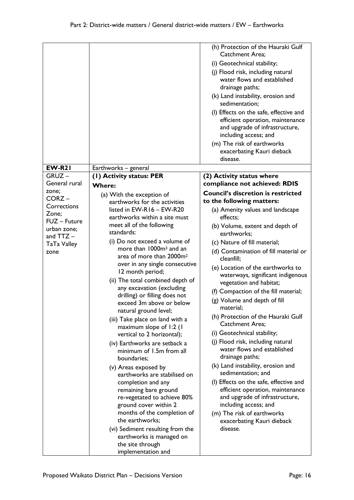|               |                                      | (h) Protection of the Hauraki Gulf                                                                                                    |
|---------------|--------------------------------------|---------------------------------------------------------------------------------------------------------------------------------------|
|               |                                      | Catchment Area;                                                                                                                       |
|               |                                      | (i) Geotechnical stability;                                                                                                           |
|               |                                      | (j) Flood risk, including natural                                                                                                     |
|               |                                      | water flows and established<br>drainage paths;                                                                                        |
|               |                                      | (k) Land instability, erosion and                                                                                                     |
|               |                                      | sedimentation;                                                                                                                        |
|               |                                      | (I) Effects on the safe, effective and<br>efficient operation, maintenance<br>and upgrade of infrastructure,<br>including access; and |
|               |                                      | (m) The risk of earthworks                                                                                                            |
|               |                                      | exacerbating Kauri dieback                                                                                                            |
|               |                                      | disease.                                                                                                                              |
| <b>EW-R21</b> | Earthworks - general                 |                                                                                                                                       |
| $GRUZ -$      | (I) Activity status: PER             | (2) Activity status where                                                                                                             |
| General rural | <b>Where:</b>                        | compliance not achieved: RDIS                                                                                                         |
| zone;         | (a) With the exception of            | <b>Council's discretion is restricted</b>                                                                                             |
| $CORZ -$      | earthworks for the activities        | to the following matters:                                                                                                             |
| Corrections   | listed in EW-R16 - EW-R20            | (a) Amenity values and landscape                                                                                                      |
| Zone;         | earthworks within a site must        | effects:                                                                                                                              |
| FUZ - Future  | meet all of the following            | (b) Volume, extent and depth of                                                                                                       |
| urban zone;   | standards:                           | earthworks;                                                                                                                           |
| and $TTZ -$   | (i) Do not exceed a volume of        | (c) Nature of fill material;                                                                                                          |
| TaTa Valley   | more than 1000m <sup>3</sup> and an  |                                                                                                                                       |
| zone          | area of more than 2000m <sup>2</sup> | (d) Contamination of fill material or<br>cleanfill;                                                                                   |
|               | over in any single consecutive       |                                                                                                                                       |
|               | 12 month period;                     | (e) Location of the earthworks to                                                                                                     |
|               | (ii) The total combined depth of     | waterways, significant indigenous                                                                                                     |
|               | any excavation (excluding            | vegetation and habitat;                                                                                                               |
|               | drilling) or filling does not        | (f) Compaction of the fill material;                                                                                                  |
|               | exceed 3m above or below             | (g) Volume and depth of fill                                                                                                          |
|               | natural ground level;                | material;                                                                                                                             |
|               | (iii) Take place on land with a      | (h) Protection of the Hauraki Gulf                                                                                                    |
|               | maximum slope of 1:2 (1              | <b>Catchment Area:</b>                                                                                                                |
|               | vertical to 2 horizontal);           | (i) Geotechnical stability;                                                                                                           |
|               | (iv) Earthworks are setback a        | (j) Flood risk, including natural                                                                                                     |
|               | minimum of 1.5m from all             | water flows and established                                                                                                           |
|               | boundaries;                          | drainage paths;                                                                                                                       |
|               | (v) Areas exposed by                 | (k) Land instability, erosion and                                                                                                     |
|               | earthworks are stabilised on         | sedimentation; and                                                                                                                    |
|               | completion and any                   | (I) Effects on the safe, effective and                                                                                                |
|               | remaining bare ground                | efficient operation, maintenance                                                                                                      |
|               | re-vegetated to achieve 80%          | and upgrade of infrastructure,                                                                                                        |
|               | ground cover within 2                | including access; and                                                                                                                 |
|               | months of the completion of          | (m) The risk of earthworks                                                                                                            |
|               | the earthworks;                      | exacerbating Kauri dieback                                                                                                            |
|               | (vi) Sediment resulting from the     | disease.                                                                                                                              |
|               | earthworks is managed on             |                                                                                                                                       |
|               | the site through                     |                                                                                                                                       |
|               | implementation and                   |                                                                                                                                       |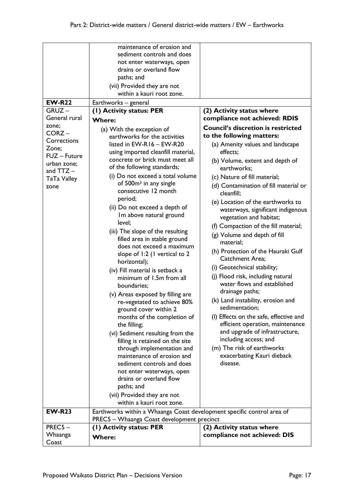|                           | maintenance of erosion and<br>sediment controls and does<br>not enter waterways, open<br>drains or overland flow<br>paths; and<br>(vii) Provided they are not<br>within a kauri root zone. |                                                                            |
|---------------------------|--------------------------------------------------------------------------------------------------------------------------------------------------------------------------------------------|----------------------------------------------------------------------------|
| <b>EW-R22</b>             | Earthworks - general                                                                                                                                                                       |                                                                            |
| $GRUZ -$<br>General rural | (1) Activity status: PER                                                                                                                                                                   | (2) Activity status where                                                  |
|                           | <b>Where:</b>                                                                                                                                                                              | compliance not achieved: RDIS                                              |
| zone;<br>$CORZ -$         | (a) With the exception of                                                                                                                                                                  | <b>Council's discretion is restricted</b>                                  |
| Corrections               | earthworks for the activities                                                                                                                                                              | to the following matters:                                                  |
| Zone;                     | listed in $EW-R16 - EW-R20$                                                                                                                                                                | (a) Amenity values and landscape                                           |
| FUZ - Future              | using imported cleanfill material,<br>concrete or brick must meet all                                                                                                                      | effects:                                                                   |
| urban zone;               | of the following standards;                                                                                                                                                                | (b) Volume, extent and depth of<br>earthworks;                             |
| and $TTZ -$               | (i) Do not exceed a total volume                                                                                                                                                           |                                                                            |
| TaTa Valley               | of 500m <sup>3</sup> in any single                                                                                                                                                         | (c) Nature of fill material;                                               |
| zone                      | consecutive 12 month                                                                                                                                                                       | (d) Contamination of fill material or<br>cleanfill;                        |
|                           | period;                                                                                                                                                                                    | (e) Location of the earthworks to                                          |
|                           | (ii) Do not exceed a depth of                                                                                                                                                              | waterways, significant indigenous                                          |
|                           | Im above natural ground<br>level;                                                                                                                                                          | vegetation and habitat;                                                    |
|                           |                                                                                                                                                                                            | (f) Compaction of the fill material;                                       |
|                           | (iii) The slope of the resulting<br>filled area in stable ground                                                                                                                           | (g) Volume and depth of fill                                               |
|                           | does not exceed a maximum                                                                                                                                                                  | material:                                                                  |
|                           | slope of 1:2 (1 vertical to 2                                                                                                                                                              | (h) Protection of the Hauraki Gulf                                         |
|                           | horizontal);                                                                                                                                                                               | <b>Catchment Area;</b>                                                     |
|                           | (iv) Fill material is setback a                                                                                                                                                            | (i) Geotechnical stability;                                                |
|                           | minimum of 1.5m from all                                                                                                                                                                   | (j) Flood risk, including natural                                          |
|                           | boundaries;                                                                                                                                                                                | water flows and established                                                |
|                           | (v) Areas exposed by filling are                                                                                                                                                           | drainage paths;                                                            |
|                           | re-vegetated to achieve 80%                                                                                                                                                                | (k) Land instability, erosion and                                          |
|                           | ground cover within 2                                                                                                                                                                      | sedimentation;                                                             |
|                           | months of the completion of                                                                                                                                                                | (I) Effects on the safe, effective and<br>efficient operation, maintenance |
|                           | the filling;                                                                                                                                                                               | and upgrade of infrastructure,                                             |
|                           | (vi) Sediment resulting from the<br>filling is retained on the site                                                                                                                        | including access; and                                                      |
|                           | through implementation and                                                                                                                                                                 | (m) The risk of earthworks                                                 |
|                           | maintenance of erosion and                                                                                                                                                                 | exacerbating Kauri dieback                                                 |
|                           | sediment controls and does                                                                                                                                                                 | disease.                                                                   |
|                           | not enter waterways, open                                                                                                                                                                  |                                                                            |
|                           | drains or overland flow                                                                                                                                                                    |                                                                            |
|                           | paths; and                                                                                                                                                                                 |                                                                            |
|                           | (vii) Provided they are not                                                                                                                                                                |                                                                            |
|                           | within a kauri root zone.                                                                                                                                                                  |                                                                            |
| <b>EW-R23</b>             | Earthworks within a Whaanga Coast development specific control area of                                                                                                                     |                                                                            |
| PREC5-                    | PREC5 - Whaanga Coast development precinct<br>(I) Activity status: PER                                                                                                                     | (2) Activity status where                                                  |
| Whaanga                   |                                                                                                                                                                                            | compliance not achieved: DIS                                               |
| Coast                     | <b>Where:</b>                                                                                                                                                                              |                                                                            |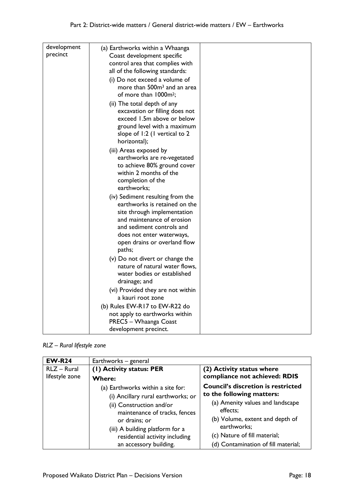| development | (a) Earthworks within a Whaanga         |  |
|-------------|-----------------------------------------|--|
| precinct    | Coast development specific              |  |
|             | control area that complies with         |  |
|             | all of the following standards:         |  |
|             | (i) Do not exceed a volume of           |  |
|             | more than 500m <sup>3</sup> and an area |  |
|             | of more than 1000m <sup>2</sup> ;       |  |
|             | (ii) The total depth of any             |  |
|             | excavation or filling does not          |  |
|             | exceed 1.5m above or below              |  |
|             | ground level with a maximum             |  |
|             | slope of 1:2 (1 vertical to 2           |  |
|             | horizontal);                            |  |
|             |                                         |  |
|             | (iii) Areas exposed by                  |  |
|             | earthworks are re-vegetated             |  |
|             | to achieve 80% ground cover             |  |
|             | within 2 months of the                  |  |
|             | completion of the                       |  |
|             | earthworks;                             |  |
|             | (iv) Sediment resulting from the        |  |
|             | earthworks is retained on the           |  |
|             | site through implementation             |  |
|             | and maintenance of erosion              |  |
|             | and sediment controls and               |  |
|             | does not enter waterways,               |  |
|             | open drains or overland flow            |  |
|             | paths;                                  |  |
|             | (v) Do not divert or change the         |  |
|             | nature of natural water flows,          |  |
|             | water bodies or established             |  |
|             | drainage; and                           |  |
|             | (vi) Provided they are not within       |  |
|             | a kauri root zone                       |  |
|             | (b) Rules EW-R17 to EW-R22 do           |  |
|             | not apply to earthworks within          |  |
|             | PREC5 - Whaanga Coast                   |  |
|             | development precinct.                   |  |

*RLZ – Rural lifestyle zone*

| <b>EW-R24</b>  | Earthworks - general                                      |                                              |
|----------------|-----------------------------------------------------------|----------------------------------------------|
| RLZ - Rural    | (1) Activity status: PER                                  | (2) Activity status where                    |
| lifestyle zone | <b>Where:</b>                                             | compliance not achieved: RDIS                |
|                | (a) Earthworks within a site for:                         | <b>Council's discretion is restricted</b>    |
|                | (i) Ancillary rural earthworks; or                        | to the following matters:                    |
|                | (ii) Construction and/or<br>maintenance of tracks, fences | (a) Amenity values and landscape<br>effects; |
|                | or drains; or                                             | (b) Volume, extent and depth of              |
|                | (iii) A building platform for a                           | earthworks;                                  |
|                | residential activity including                            | (c) Nature of fill material;                 |
|                | an accessory building.                                    | (d) Contamination of fill material;          |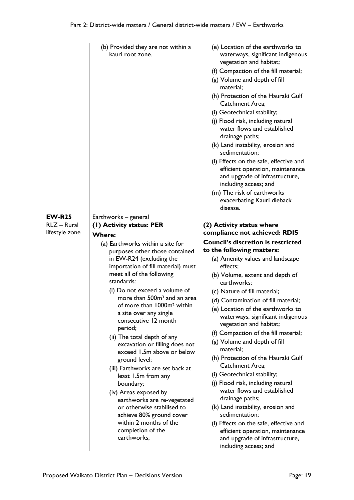| (e) Location of the earthworks to<br>(b) Provided they are not within a<br>kauri root zone.<br>vegetation and habitat;<br>(g) Volume and depth of fill<br>material;<br><b>Catchment Area:</b><br>(i) Geotechnical stability;<br>(j) Flood risk, including natural<br>water flows and established<br>drainage paths;<br>(k) Land instability, erosion and<br>sedimentation;<br>and upgrade of infrastructure,<br>including access; and<br>(m) The risk of earthworks<br>exacerbating Kauri dieback<br>disease.<br><b>EW-R25</b><br>Earthworks - general<br>RLZ - Rural<br>(2) Activity status where<br>(1) Activity status: PER<br>compliance not achieved: RDIS<br>lifestyle zone<br><b>Where:</b><br>(a) Earthworks within a site for<br>to the following matters:<br>purposes other those contained<br>in EW-R24 (excluding the<br>(a) Amenity values and landscape<br>importation of fill material) must<br>effects;<br>meet all of the following<br>(b) Volume, extent and depth of<br>standards:<br>earthworks;<br>(i) Do not exceed a volume of<br>(c) Nature of fill material;                                |  |                                                                                                                                                                                               |
|----------------------------------------------------------------------------------------------------------------------------------------------------------------------------------------------------------------------------------------------------------------------------------------------------------------------------------------------------------------------------------------------------------------------------------------------------------------------------------------------------------------------------------------------------------------------------------------------------------------------------------------------------------------------------------------------------------------------------------------------------------------------------------------------------------------------------------------------------------------------------------------------------------------------------------------------------------------------------------------------------------------------------------------------------------------------------------------------------------------------|--|-----------------------------------------------------------------------------------------------------------------------------------------------------------------------------------------------|
|                                                                                                                                                                                                                                                                                                                                                                                                                                                                                                                                                                                                                                                                                                                                                                                                                                                                                                                                                                                                                                                                                                                      |  | waterways, significant indigenous<br>(f) Compaction of the fill material;<br>(h) Protection of the Hauraki Gulf<br>(I) Effects on the safe, effective and<br>efficient operation, maintenance |
|                                                                                                                                                                                                                                                                                                                                                                                                                                                                                                                                                                                                                                                                                                                                                                                                                                                                                                                                                                                                                                                                                                                      |  |                                                                                                                                                                                               |
|                                                                                                                                                                                                                                                                                                                                                                                                                                                                                                                                                                                                                                                                                                                                                                                                                                                                                                                                                                                                                                                                                                                      |  |                                                                                                                                                                                               |
|                                                                                                                                                                                                                                                                                                                                                                                                                                                                                                                                                                                                                                                                                                                                                                                                                                                                                                                                                                                                                                                                                                                      |  |                                                                                                                                                                                               |
|                                                                                                                                                                                                                                                                                                                                                                                                                                                                                                                                                                                                                                                                                                                                                                                                                                                                                                                                                                                                                                                                                                                      |  |                                                                                                                                                                                               |
| more than 500m <sup>3</sup> and an area<br>(d) Contamination of fill material;<br>of more than 1000m <sup>2</sup> within<br>(e) Location of the earthworks to<br>a site over any single<br>waterways, significant indigenous<br>consecutive 12 month<br>vegetation and habitat;<br>period;<br>(f) Compaction of the fill material;<br>(ii) The total depth of any<br>(g) Volume and depth of fill<br>excavation or filling does not<br>material;<br>exceed 1.5m above or below<br>(h) Protection of the Hauraki Gulf<br>ground level;<br><b>Catchment Area:</b><br>(iii) Earthworks are set back at<br>(i) Geotechnical stability;<br>least 1.5m from any<br>(j) Flood risk, including natural<br>boundary;<br>water flows and established<br>(iv) Areas exposed by<br>drainage paths;<br>earthworks are re-vegetated<br>or otherwise stabilised to<br>(k) Land instability, erosion and<br>sedimentation;<br>achieve 80% ground cover<br>within 2 months of the<br>(I) Effects on the safe, effective and<br>completion of the<br>efficient operation, maintenance<br>earthworks;<br>and upgrade of infrastructure, |  | <b>Council's discretion is restricted</b>                                                                                                                                                     |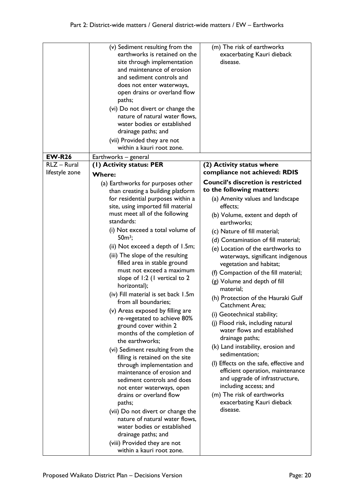|                              | (v) Sediment resulting from the<br>earthworks is retained on the<br>site through implementation<br>and maintenance of erosion<br>and sediment controls and<br>does not enter waterways,<br>open drains or overland flow<br>paths;<br>(vi) Do not divert or change the<br>nature of natural water flows,<br>water bodies or established<br>drainage paths; and<br>(vii) Provided they are not<br>within a kauri root zone. | (m) The risk of earthworks<br>exacerbating Kauri dieback<br>disease. |
|------------------------------|---------------------------------------------------------------------------------------------------------------------------------------------------------------------------------------------------------------------------------------------------------------------------------------------------------------------------------------------------------------------------------------------------------------------------|----------------------------------------------------------------------|
| <b>EW-R26</b><br>RLZ - Rural | Earthworks - general                                                                                                                                                                                                                                                                                                                                                                                                      |                                                                      |
| lifestyle zone               | (I) Activity status: PER                                                                                                                                                                                                                                                                                                                                                                                                  | (2) Activity status where<br>compliance not achieved: RDIS           |
|                              | <b>Where:</b>                                                                                                                                                                                                                                                                                                                                                                                                             |                                                                      |
|                              | (a) Earthworks for purposes other                                                                                                                                                                                                                                                                                                                                                                                         | <b>Council's discretion is restricted</b>                            |
|                              | than creating a building platform<br>for residential purposes within a                                                                                                                                                                                                                                                                                                                                                    | to the following matters:<br>(a) Amenity values and landscape        |
|                              | site, using imported fill material                                                                                                                                                                                                                                                                                                                                                                                        | effects;                                                             |
|                              | must meet all of the following<br>standards:                                                                                                                                                                                                                                                                                                                                                                              | (b) Volume, extent and depth of<br>earthworks;                       |
|                              | (i) Not exceed a total volume of                                                                                                                                                                                                                                                                                                                                                                                          | (c) Nature of fill material;                                         |
|                              | $50m^3$ ;                                                                                                                                                                                                                                                                                                                                                                                                                 | (d) Contamination of fill material;                                  |
|                              | (ii) Not exceed a depth of 1.5m;                                                                                                                                                                                                                                                                                                                                                                                          | (e) Location of the earthworks to                                    |
|                              | (iii) The slope of the resulting<br>filled area in stable ground                                                                                                                                                                                                                                                                                                                                                          | waterways, significant indigenous<br>vegetation and habitat;         |
|                              | must not exceed a maximum                                                                                                                                                                                                                                                                                                                                                                                                 | (f) Compaction of the fill material;                                 |
|                              | slope of 1:2 (1 vertical to 2<br>horizontal);                                                                                                                                                                                                                                                                                                                                                                             | (g) Volume and depth of fill                                         |
|                              | (iv) Fill material is set back 1.5m<br>from all boundaries;                                                                                                                                                                                                                                                                                                                                                               | material;<br>(h) Protection of the Hauraki Gulf                      |
|                              | (v) Areas exposed by filling are                                                                                                                                                                                                                                                                                                                                                                                          | Catchment Area;                                                      |
|                              | re-vegetated to achieve 80%                                                                                                                                                                                                                                                                                                                                                                                               | (i) Geotechnical stability;                                          |
|                              | ground cover within 2<br>months of the completion of                                                                                                                                                                                                                                                                                                                                                                      | (j) Flood risk, including natural<br>water flows and established     |
|                              | the earthworks;                                                                                                                                                                                                                                                                                                                                                                                                           | drainage paths;                                                      |
|                              | (vi) Sediment resulting from the                                                                                                                                                                                                                                                                                                                                                                                          | (k) Land instability, erosion and<br>sedimentation;                  |
|                              | filling is retained on the site                                                                                                                                                                                                                                                                                                                                                                                           | (I) Effects on the safe, effective and                               |
|                              | through implementation and<br>maintenance of erosion and<br>sediment controls and does                                                                                                                                                                                                                                                                                                                                    | efficient operation, maintenance<br>and upgrade of infrastructure,   |
|                              | not enter waterways, open                                                                                                                                                                                                                                                                                                                                                                                                 | including access; and                                                |
|                              | drains or overland flow<br>paths;                                                                                                                                                                                                                                                                                                                                                                                         | (m) The risk of earthworks<br>exacerbating Kauri dieback             |
|                              | (vii) Do not divert or change the                                                                                                                                                                                                                                                                                                                                                                                         | disease.                                                             |
|                              | nature of natural water flows,                                                                                                                                                                                                                                                                                                                                                                                            |                                                                      |
|                              | water bodies or established                                                                                                                                                                                                                                                                                                                                                                                               |                                                                      |
|                              | drainage paths; and                                                                                                                                                                                                                                                                                                                                                                                                       |                                                                      |
|                              | (viii) Provided they are not<br>within a kauri root zone.                                                                                                                                                                                                                                                                                                                                                                 |                                                                      |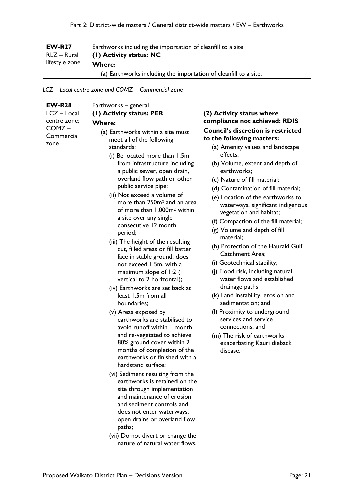| <b>EW-R27</b>  | Earthworks including the importation of cleanfill to a site      |  |
|----------------|------------------------------------------------------------------|--|
| RLZ – Rural    | $\vert$ (1) Activity status: NC                                  |  |
| lifestyle zone | <b>Where:</b>                                                    |  |
|                | (a) Earthworks including the importation of cleanfill to a site. |  |

*LCZ – Local centre zone and COMZ – Commercial zone*

| <b>EW-R28</b> | Earthworks – general                                                                                                                                                                                                                                                                                                                                                                                                                                |                                                                                                                                                                                                                                                                                                                                                                                                               |
|---------------|-----------------------------------------------------------------------------------------------------------------------------------------------------------------------------------------------------------------------------------------------------------------------------------------------------------------------------------------------------------------------------------------------------------------------------------------------------|---------------------------------------------------------------------------------------------------------------------------------------------------------------------------------------------------------------------------------------------------------------------------------------------------------------------------------------------------------------------------------------------------------------|
| LCZ-Local     | (1) Activity status: PER                                                                                                                                                                                                                                                                                                                                                                                                                            | (2) Activity status where                                                                                                                                                                                                                                                                                                                                                                                     |
| centre zone;  | <b>Where:</b>                                                                                                                                                                                                                                                                                                                                                                                                                                       | compliance not achieved: RDIS                                                                                                                                                                                                                                                                                                                                                                                 |
| COMZ-         | (a) Earthworks within a site must                                                                                                                                                                                                                                                                                                                                                                                                                   | <b>Council's discretion is restricted</b>                                                                                                                                                                                                                                                                                                                                                                     |
| Commercial    | meet all of the following                                                                                                                                                                                                                                                                                                                                                                                                                           | to the following matters:                                                                                                                                                                                                                                                                                                                                                                                     |
| zone          | standards:                                                                                                                                                                                                                                                                                                                                                                                                                                          | (a) Amenity values and landscape                                                                                                                                                                                                                                                                                                                                                                              |
|               | (i) Be located more than 1.5m                                                                                                                                                                                                                                                                                                                                                                                                                       | effects;                                                                                                                                                                                                                                                                                                                                                                                                      |
|               | from infrastructure including<br>a public sewer, open drain,                                                                                                                                                                                                                                                                                                                                                                                        | (b) Volume, extent and depth of<br>earthworks;                                                                                                                                                                                                                                                                                                                                                                |
|               | overland flow path or other                                                                                                                                                                                                                                                                                                                                                                                                                         | (c) Nature of fill material;                                                                                                                                                                                                                                                                                                                                                                                  |
|               | public service pipe;                                                                                                                                                                                                                                                                                                                                                                                                                                | (d) Contamination of fill material;                                                                                                                                                                                                                                                                                                                                                                           |
|               | (ii) Not exceed a volume of<br>more than 250m <sup>3</sup> and an area<br>of more than 1,000m <sup>2</sup> within<br>a site over any single                                                                                                                                                                                                                                                                                                         | (e) Location of the earthworks to<br>waterways, significant indigenous<br>vegetation and habitat;                                                                                                                                                                                                                                                                                                             |
|               | consecutive 12 month<br>period;                                                                                                                                                                                                                                                                                                                                                                                                                     | (f) Compaction of the fill material;<br>(g) Volume and depth of fill                                                                                                                                                                                                                                                                                                                                          |
|               | (iii) The height of the resulting<br>cut, filled areas or fill batter<br>face in stable ground, does<br>not exceed 1.5m, with a<br>maximum slope of 1:2 (1<br>vertical to 2 horizontal);<br>(iv) Earthworks are set back at<br>least 1.5m from all<br>boundaries;<br>(v) Areas exposed by<br>earthworks are stabilised to<br>avoid runoff within I month<br>and re-vegetated to achieve<br>80% ground cover within 2<br>months of completion of the | material:<br>(h) Protection of the Hauraki Gulf<br><b>Catchment Area:</b><br>(i) Geotechnical stability;<br>(j) Flood risk, including natural<br>water flows and established<br>drainage paths<br>(k) Land instability, erosion and<br>sedimentation; and<br>(I) Proximity to underground<br>services and service<br>connections; and<br>(m) The risk of earthworks<br>exacerbating Kauri dieback<br>disease. |
|               | earthworks or finished with a<br>hardstand surface;<br>(vi) Sediment resulting from the<br>earthworks is retained on the<br>site through implementation<br>and maintenance of erosion<br>and sediment controls and<br>does not enter waterways,<br>open drains or overland flow<br>paths;<br>(vii) Do not divert or change the<br>nature of natural water flows,                                                                                    |                                                                                                                                                                                                                                                                                                                                                                                                               |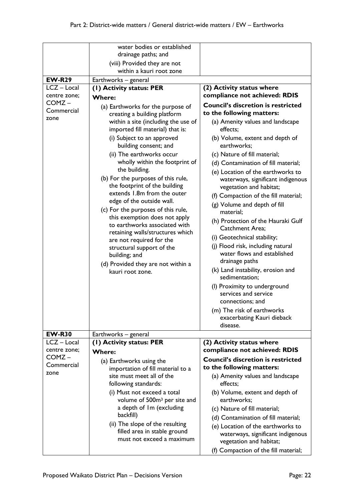|                    | water bodies or established                                             |                                                              |
|--------------------|-------------------------------------------------------------------------|--------------------------------------------------------------|
|                    | drainage paths; and                                                     |                                                              |
|                    | (viii) Provided they are not<br>within a kauri root zone                |                                                              |
| <b>EW-R29</b>      |                                                                         |                                                              |
| LCZ - Local        | Earthworks - general<br>(1) Activity status: PER                        | (2) Activity status where                                    |
| centre zone;       |                                                                         | compliance not achieved: RDIS                                |
| COMZ-              | <b>Where:</b>                                                           | <b>Council's discretion is restricted</b>                    |
| Commercial         | (a) Earthworks for the purpose of                                       | to the following matters:                                    |
| zone               | creating a building platform<br>within a site (including the use of     | (a) Amenity values and landscape                             |
|                    | imported fill material) that is:                                        | effects;                                                     |
|                    | (i) Subject to an approved                                              | (b) Volume, extent and depth of                              |
|                    | building consent; and                                                   | earthworks;                                                  |
|                    | (ii) The earthworks occur                                               | (c) Nature of fill material;                                 |
|                    | wholly within the footprint of                                          | (d) Contamination of fill material;                          |
|                    | the building.                                                           | (e) Location of the earthworks to                            |
|                    | (b) For the purposes of this rule,<br>the footprint of the building     | waterways, significant indigenous<br>vegetation and habitat; |
|                    | extends 1.8m from the outer                                             | (f) Compaction of the fill material;                         |
|                    | edge of the outside wall.                                               | (g) Volume and depth of fill                                 |
|                    | (c) For the purposes of this rule,                                      | material;                                                    |
|                    | this exemption does not apply<br>to earthworks associated with          | (h) Protection of the Hauraki Gulf                           |
|                    | retaining walls/structures which                                        | <b>Catchment Area;</b>                                       |
|                    | are not required for the                                                | (i) Geotechnical stability;                                  |
|                    | structural support of the                                               | (j) Flood risk, including natural                            |
|                    | building; and                                                           | water flows and established                                  |
|                    | (d) Provided they are not within a                                      | drainage paths                                               |
|                    | kauri root zone.                                                        | (k) Land instability, erosion and<br>sedimentation;          |
|                    |                                                                         | (I) Proximity to underground                                 |
|                    |                                                                         | services and service                                         |
|                    |                                                                         | connections; and                                             |
|                    |                                                                         | (m) The risk of earthworks                                   |
|                    |                                                                         | exacerbating Kauri dieback<br>disease.                       |
| <b>EW-R30</b>      | Earthworks - general                                                    |                                                              |
| LCZ - Local        | (1) Activity status: PER                                                | (2) Activity status where                                    |
| centre zone;       | <b>Where:</b>                                                           | compliance not achieved: RDIS                                |
| COMZ-              | (a) Earthworks using the                                                | <b>Council's discretion is restricted</b>                    |
| Commercial<br>zone | importation of fill material to a                                       | to the following matters:                                    |
|                    | site must meet all of the                                               | (a) Amenity values and landscape                             |
|                    | following standards:                                                    | effects;                                                     |
|                    | (i) Must not exceed a total<br>volume of 500m <sup>3</sup> per site and | (b) Volume, extent and depth of<br>earthworks;               |
|                    | a depth of Im (excluding                                                | (c) Nature of fill material;                                 |
|                    | backfill)                                                               | (d) Contamination of fill material;                          |
|                    | (ii) The slope of the resulting                                         | (e) Location of the earthworks to                            |
|                    | filled area in stable ground<br>must not exceed a maximum               | waterways, significant indigenous<br>vegetation and habitat; |
|                    |                                                                         | (f) Compaction of the fill material;                         |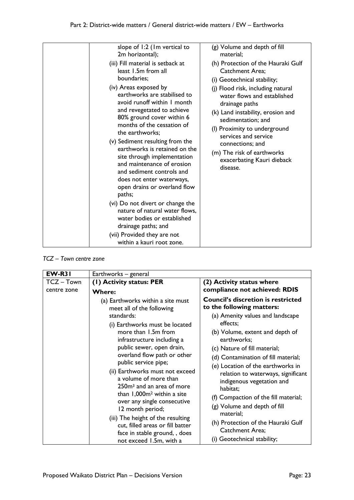| drainage paths; and<br>(vii) Provided they are not<br>within a kauri root zone. |
|---------------------------------------------------------------------------------|
|---------------------------------------------------------------------------------|

*TCZ – Town centre zone* 

| <b>EW-R31</b>           | Earthworks - general                                                                                                                                                                                                                                                                                                                                                                                                                                                                                                                                                                           |                                                                                                                                                                                                                                                                                                                                                                                                                                                                                                                                                  |
|-------------------------|------------------------------------------------------------------------------------------------------------------------------------------------------------------------------------------------------------------------------------------------------------------------------------------------------------------------------------------------------------------------------------------------------------------------------------------------------------------------------------------------------------------------------------------------------------------------------------------------|--------------------------------------------------------------------------------------------------------------------------------------------------------------------------------------------------------------------------------------------------------------------------------------------------------------------------------------------------------------------------------------------------------------------------------------------------------------------------------------------------------------------------------------------------|
| TCZ-Town<br>centre zone | (1) Activity status: PER<br><b>Where:</b>                                                                                                                                                                                                                                                                                                                                                                                                                                                                                                                                                      | (2) Activity status where<br>compliance not achieved: RDIS                                                                                                                                                                                                                                                                                                                                                                                                                                                                                       |
|                         | (a) Earthworks within a site must<br>meet all of the following<br>standards:<br>(i) Earthworks must be located<br>more than 1.5m from<br>infrastructure including a<br>public sewer, open drain,<br>overland flow path or other<br>public service pipe;<br>(ii) Earthworks must not exceed<br>a volume of more than<br>250m <sup>3</sup> and an area of more<br>than 1,000m <sup>2</sup> within a site<br>over any single consecutive<br>12 month period;<br>(iii) The height of the resulting<br>cut, filled areas or fill batter<br>face in stable ground, , does<br>not exceed 1.5m, with a | <b>Council's discretion is restricted</b><br>to the following matters:<br>(a) Amenity values and landscape<br>effects;<br>(b) Volume, extent and depth of<br>earthworks;<br>(c) Nature of fill material;<br>(d) Contamination of fill material;<br>(e) Location of the earthworks in<br>relation to waterways, significant<br>indigenous vegetation and<br>habitat;<br>(f) Compaction of the fill material;<br>(g) Volume and depth of fill<br>material;<br>(h) Protection of the Hauraki Gulf<br>Catchment Area;<br>(i) Geotechnical stability; |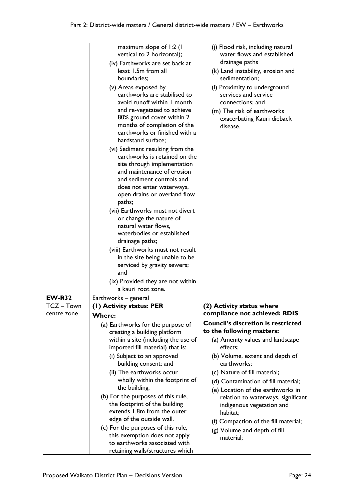|               | maximum slope of 1:2 (1<br>vertical to 2 horizontal);<br>(iv) Earthworks are set back at<br>least 1.5m from all<br>boundaries;<br>(v) Areas exposed by<br>earthworks are stabilised to<br>avoid runoff within I month<br>and re-vegetated to achieve<br>80% ground cover within 2<br>months of completion of the<br>earthworks or finished with a<br>hardstand surface;<br>(vi) Sediment resulting from the<br>earthworks is retained on the<br>site through implementation<br>and maintenance of erosion<br>and sediment controls and<br>does not enter waterways,<br>open drains or overland flow<br>paths;<br>(vii) Earthworks must not divert<br>or change the nature of<br>natural water flows,<br>waterbodies or established<br>drainage paths;<br>(viii) Earthworks must not result<br>in the site being unable to be<br>serviced by gravity sewers;<br>and<br>(ix) Provided they are not within<br>a kauri root zone. | (j) Flood risk, including natural<br>water flows and established<br>drainage paths<br>(k) Land instability, erosion and<br>sedimentation;<br>(I) Proximity to underground<br>services and service<br>connections; and<br>(m) The risk of earthworks<br>exacerbating Kauri dieback<br>disease. |
|---------------|-------------------------------------------------------------------------------------------------------------------------------------------------------------------------------------------------------------------------------------------------------------------------------------------------------------------------------------------------------------------------------------------------------------------------------------------------------------------------------------------------------------------------------------------------------------------------------------------------------------------------------------------------------------------------------------------------------------------------------------------------------------------------------------------------------------------------------------------------------------------------------------------------------------------------------|-----------------------------------------------------------------------------------------------------------------------------------------------------------------------------------------------------------------------------------------------------------------------------------------------|
| <b>EW-R32</b> | Earthworks – general                                                                                                                                                                                                                                                                                                                                                                                                                                                                                                                                                                                                                                                                                                                                                                                                                                                                                                          |                                                                                                                                                                                                                                                                                               |
| TCZ – Town    | (I) Activity status: PER                                                                                                                                                                                                                                                                                                                                                                                                                                                                                                                                                                                                                                                                                                                                                                                                                                                                                                      | (2) Activity status where                                                                                                                                                                                                                                                                     |
| centre zone   |                                                                                                                                                                                                                                                                                                                                                                                                                                                                                                                                                                                                                                                                                                                                                                                                                                                                                                                               | compliance not achieved: RDIS                                                                                                                                                                                                                                                                 |
|               | <b>Where:</b>                                                                                                                                                                                                                                                                                                                                                                                                                                                                                                                                                                                                                                                                                                                                                                                                                                                                                                                 | <b>Council's discretion is restricted</b>                                                                                                                                                                                                                                                     |
|               | (a) Earthworks for the purpose of                                                                                                                                                                                                                                                                                                                                                                                                                                                                                                                                                                                                                                                                                                                                                                                                                                                                                             | to the following matters:                                                                                                                                                                                                                                                                     |
|               | creating a building platform<br>within a site (including the use of                                                                                                                                                                                                                                                                                                                                                                                                                                                                                                                                                                                                                                                                                                                                                                                                                                                           | (a) Amenity values and landscape                                                                                                                                                                                                                                                              |
|               | imported fill material) that is:                                                                                                                                                                                                                                                                                                                                                                                                                                                                                                                                                                                                                                                                                                                                                                                                                                                                                              | effects;                                                                                                                                                                                                                                                                                      |
|               | (i) Subject to an approved<br>building consent; and                                                                                                                                                                                                                                                                                                                                                                                                                                                                                                                                                                                                                                                                                                                                                                                                                                                                           | (b) Volume, extent and depth of<br>earthworks;                                                                                                                                                                                                                                                |
|               | (ii) The earthworks occur                                                                                                                                                                                                                                                                                                                                                                                                                                                                                                                                                                                                                                                                                                                                                                                                                                                                                                     | (c) Nature of fill material;                                                                                                                                                                                                                                                                  |
|               | wholly within the footprint of                                                                                                                                                                                                                                                                                                                                                                                                                                                                                                                                                                                                                                                                                                                                                                                                                                                                                                | (d) Contamination of fill material;                                                                                                                                                                                                                                                           |
|               | the building.<br>(b) For the purposes of this rule,                                                                                                                                                                                                                                                                                                                                                                                                                                                                                                                                                                                                                                                                                                                                                                                                                                                                           | (e) Location of the earthworks in<br>relation to waterways, significant                                                                                                                                                                                                                       |
|               | the footprint of the building<br>extends 1.8m from the outer                                                                                                                                                                                                                                                                                                                                                                                                                                                                                                                                                                                                                                                                                                                                                                                                                                                                  | indigenous vegetation and<br>habitat;                                                                                                                                                                                                                                                         |
|               | edge of the outside wall.                                                                                                                                                                                                                                                                                                                                                                                                                                                                                                                                                                                                                                                                                                                                                                                                                                                                                                     | (f) Compaction of the fill material;                                                                                                                                                                                                                                                          |
|               | (c) For the purposes of this rule,                                                                                                                                                                                                                                                                                                                                                                                                                                                                                                                                                                                                                                                                                                                                                                                                                                                                                            | (g) Volume and depth of fill                                                                                                                                                                                                                                                                  |
|               | this exemption does not apply<br>to earthworks associated with                                                                                                                                                                                                                                                                                                                                                                                                                                                                                                                                                                                                                                                                                                                                                                                                                                                                | material;                                                                                                                                                                                                                                                                                     |
|               | retaining walls/structures which                                                                                                                                                                                                                                                                                                                                                                                                                                                                                                                                                                                                                                                                                                                                                                                                                                                                                              |                                                                                                                                                                                                                                                                                               |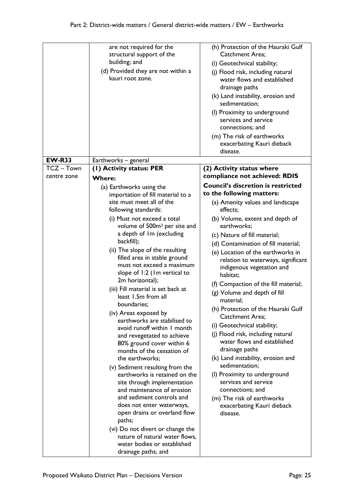|               | are not required for the                                | (h) Protection of the Hauraki Gulf                  |
|---------------|---------------------------------------------------------|-----------------------------------------------------|
|               | structural support of the                               | Catchment Area;                                     |
|               | building; and                                           | (i) Geotechnical stability;                         |
|               | (d) Provided they are not within a                      | (j) Flood risk, including natural                   |
|               | kauri root zone.                                        | water flows and established                         |
|               |                                                         | drainage paths                                      |
|               |                                                         | (k) Land instability, erosion and<br>sedimentation; |
|               |                                                         | (I) Proximity to underground                        |
|               |                                                         | services and service                                |
|               |                                                         | connections; and                                    |
|               |                                                         | (m) The risk of earthworks                          |
|               |                                                         | exacerbating Kauri dieback                          |
|               |                                                         | disease.                                            |
| <b>EW-R33</b> | Earthworks - general                                    |                                                     |
| TCZ-Town      | (1) Activity status: PER                                | (2) Activity status where                           |
| centre zone   | <b>Where:</b>                                           | compliance not achieved: RDIS                       |
|               | (a) Earthworks using the                                | <b>Council's discretion is restricted</b>           |
|               | importation of fill material to a                       | to the following matters:                           |
|               | site must meet all of the                               | (a) Amenity values and landscape                    |
|               | following standards:                                    | effects;                                            |
|               | (i) Must not exceed a total                             | (b) Volume, extent and depth of                     |
|               | volume of 500m <sup>3</sup> per site and                | earthworks;                                         |
|               | a depth of Im (excluding                                | (c) Nature of fill material;                        |
|               | backfill);                                              | (d) Contamination of fill material;                 |
|               | (ii) The slope of the resulting                         | (e) Location of the earthworks in                   |
|               | filled area in stable ground                            | relation to waterways, significant                  |
|               | must not exceed a maximum                               | indigenous vegetation and                           |
|               | slope of 1:2 (Im vertical to                            | habitat;                                            |
|               | 2m horizontal);                                         | (f) Compaction of the fill material;                |
|               | (iii) Fill material is set back at                      | (g) Volume and depth of fill                        |
|               | least 1.5m from all                                     | material;                                           |
|               | boundaries;                                             | (h) Protection of the Hauraki Gulf                  |
|               | (iv) Areas exposed by                                   | Catchment Area;                                     |
|               | earthworks are stabilised to                            | (i) Geotechnical stability;                         |
|               | avoid runoff within I month                             | (j) Flood risk, including natural                   |
|               | and revegetated to achieve                              | water flows and established                         |
|               | 80% ground cover within 6<br>months of the cessation of | drainage paths                                      |
|               | the earthworks;                                         | (k) Land instability, erosion and                   |
|               | (v) Sediment resulting from the                         | sedimentation;                                      |
|               | earthworks is retained on the                           | (I) Proximity to underground                        |
|               | site through implementation                             | services and service                                |
|               | and maintenance of erosion                              | connections; and                                    |
|               | and sediment controls and                               | (m) The risk of earthworks                          |
|               | does not enter waterways,                               | exacerbating Kauri dieback                          |
|               | open drains or overland flow                            | disease.                                            |
|               | paths;                                                  |                                                     |
|               | (vi) Do not divert or change the                        |                                                     |
|               | nature of natural water flows,                          |                                                     |
|               | water bodies or established                             |                                                     |
|               | drainage paths; and                                     |                                                     |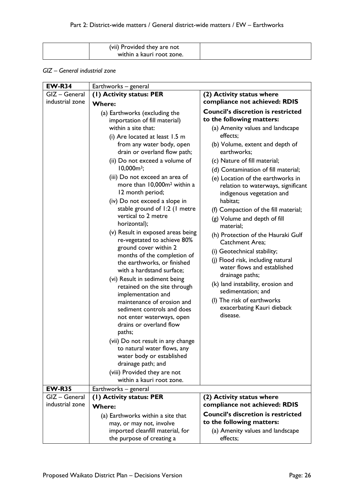| (vii) Provided they are not |  |
|-----------------------------|--|
| within a kauri root zone.   |  |

#### *GIZ – General industrial zone*

| <b>EW-R34</b>   | Earthworks - general                                                                                                                                                                                                                                  |                                                                                                                                                                                                                                        |
|-----------------|-------------------------------------------------------------------------------------------------------------------------------------------------------------------------------------------------------------------------------------------------------|----------------------------------------------------------------------------------------------------------------------------------------------------------------------------------------------------------------------------------------|
| GIZ - General   | (1) Activity status: PER                                                                                                                                                                                                                              | (2) Activity status where                                                                                                                                                                                                              |
| industrial zone | <b>Where:</b>                                                                                                                                                                                                                                         | compliance not achieved: RDIS                                                                                                                                                                                                          |
|                 | (a) Earthworks (excluding the<br>importation of fill material)<br>within a site that:<br>(i) Are located at least 1.5 m<br>from any water body, open<br>drain or overland flow path;                                                                  | <b>Council's discretion is restricted</b><br>to the following matters:<br>(a) Amenity values and landscape<br>effects;<br>(b) Volume, extent and depth of<br>earthworks;                                                               |
|                 | (ii) Do not exceed a volume of<br>$10,000m^3$ ;<br>(iii) Do not exceed an area of<br>more than 10,000m <sup>2</sup> within a<br>12 month period;                                                                                                      | (c) Nature of fill material;<br>(d) Contamination of fill material;<br>(e) Location of the earthworks in<br>relation to waterways, significant<br>indigenous vegetation and                                                            |
|                 | (iv) Do not exceed a slope in<br>stable ground of 1:2 (1 metre<br>vertical to 2 metre<br>horizontal);                                                                                                                                                 | habitat;<br>(f) Compaction of the fill material;<br>(g) Volume and depth of fill<br>material;                                                                                                                                          |
|                 | (v) Result in exposed areas being<br>re-vegetated to achieve 80%<br>ground cover within 2<br>months of the completion of<br>the earthworks, or finished<br>with a hardstand surface;<br>(vi) Result in sediment being<br>retained on the site through | (h) Protection of the Hauraki Gulf<br>Catchment Area;<br>(i) Geotechnical stability;<br>(j) Flood risk, including natural<br>water flows and established<br>drainage paths;<br>(k) land instability, erosion and<br>sedimentation; and |
|                 | implementation and<br>maintenance of erosion and<br>sediment controls and does<br>not enter waterways, open<br>drains or overland flow<br>paths;<br>(vii) Do not result in any change                                                                 | (I) The risk of earthworks<br>exacerbating Kauri dieback<br>disease.                                                                                                                                                                   |
|                 | to natural water flows, any<br>water body or established<br>drainage path; and<br>(viii) Provided they are not<br>within a kauri root zone.                                                                                                           |                                                                                                                                                                                                                                        |
| <b>EW-R35</b>   | Earthworks - general                                                                                                                                                                                                                                  |                                                                                                                                                                                                                                        |
| GIZ - General   | (1) Activity status: PER                                                                                                                                                                                                                              | (2) Activity status where                                                                                                                                                                                                              |
| industrial zone | <b>Where:</b>                                                                                                                                                                                                                                         | compliance not achieved: RDIS                                                                                                                                                                                                          |
|                 | (a) Earthworks within a site that<br>may, or may not, involve<br>imported cleanfill material, for<br>the purpose of creating a                                                                                                                        | <b>Council's discretion is restricted</b><br>to the following matters:<br>(a) Amenity values and landscape<br>effects;                                                                                                                 |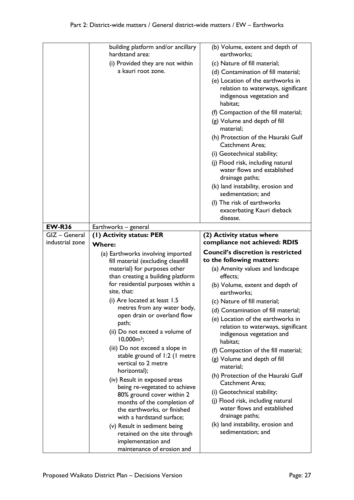|                 | building platform and/or ancillary<br>hardstand area:                  | (b) Volume, extent and depth of<br>earthworks;                       |
|-----------------|------------------------------------------------------------------------|----------------------------------------------------------------------|
|                 | (i) Provided they are not within                                       | (c) Nature of fill material;                                         |
|                 | a kauri root zone.                                                     | (d) Contamination of fill material;                                  |
|                 |                                                                        | (e) Location of the earthworks in                                    |
|                 |                                                                        | relation to waterways, significant                                   |
|                 |                                                                        | indigenous vegetation and<br>habitat;                                |
|                 |                                                                        | (f) Compaction of the fill material;                                 |
|                 |                                                                        | (g) Volume and depth of fill<br>material;                            |
|                 |                                                                        | (h) Protection of the Hauraki Gulf<br>Catchment Area;                |
|                 |                                                                        | (i) Geotechnical stability;                                          |
|                 |                                                                        | (i) Flood risk, including natural                                    |
|                 |                                                                        | water flows and established<br>drainage paths;                       |
|                 |                                                                        | (k) land instability, erosion and<br>sedimentation; and              |
|                 |                                                                        | (I) The risk of earthworks                                           |
|                 |                                                                        | exacerbating Kauri dieback                                           |
|                 |                                                                        | disease.                                                             |
| <b>EW-R36</b>   | Earthworks - general                                                   |                                                                      |
| GIZ - General   | (1) Activity status: PER                                               | (2) Activity status where                                            |
| industrial zone | <b>Where:</b>                                                          | compliance not achieved: RDIS                                        |
|                 |                                                                        |                                                                      |
|                 | (a) Earthworks involving imported                                      | <b>Council's discretion is restricted</b>                            |
|                 | fill material (excluding cleanfill                                     | to the following matters:                                            |
|                 | material) for purposes other                                           | (a) Amenity values and landscape                                     |
|                 | than creating a building platform<br>for residential purposes within a | effects;                                                             |
|                 | site, that:                                                            | (b) Volume, extent and depth of<br>earthworks;                       |
|                 | (i) Are located at least 1.5                                           | (c) Nature of fill material;                                         |
|                 | metres from any water body,                                            | (d) Contamination of fill material;                                  |
|                 | open drain or overland flow                                            | (e) Location of the earthworks in                                    |
|                 | path;                                                                  | relation to waterways, significant                                   |
|                 | (ii) Do not exceed a volume of<br>$10,000m^3$ ;                        | indigenous vegetation and<br>habitat;                                |
|                 | (iii) Do not exceed a slope in                                         |                                                                      |
|                 | stable ground of 1:2 (1 metre                                          | (f) Compaction of the fill material;<br>(g) Volume and depth of fill |
|                 | vertical to 2 metre                                                    | material;                                                            |
|                 | horizontal);                                                           | (h) Protection of the Hauraki Gulf                                   |
|                 | (iv) Result in exposed areas                                           | <b>Catchment Area:</b>                                               |
|                 | being re-vegetated to achieve<br>80% ground cover within 2             | (i) Geotechnical stability;                                          |
|                 | months of the completion of                                            | (j) Flood risk, including natural                                    |
|                 | the earthworks, or finished                                            | water flows and established                                          |
|                 | with a hardstand surface;                                              | drainage paths;                                                      |
|                 | (v) Result in sediment being                                           | (k) land instability, erosion and                                    |
|                 | retained on the site through<br>implementation and                     | sedimentation; and                                                   |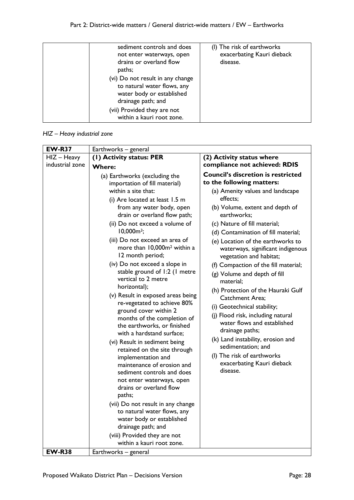| paths;<br>(vi) Do not result in any change<br>to natural water flows, any<br>water body or established<br>drainage path; and<br>(vii) Provided they are not<br>within a kauri root zone. |
|------------------------------------------------------------------------------------------------------------------------------------------------------------------------------------------|
|------------------------------------------------------------------------------------------------------------------------------------------------------------------------------------------|

#### *HIZ – Heavy industrial zone*

| <b>EW-R37</b>   | Earthworks - general                                                                                                                                                                                                                                                                                                                                                                                                                                                                                                                                                                                                                                                                                                            |                                                                                                                                                                                                                                                                                                                                                                                                                                                                                                                                                                                                                                                                                                                          |
|-----------------|---------------------------------------------------------------------------------------------------------------------------------------------------------------------------------------------------------------------------------------------------------------------------------------------------------------------------------------------------------------------------------------------------------------------------------------------------------------------------------------------------------------------------------------------------------------------------------------------------------------------------------------------------------------------------------------------------------------------------------|--------------------------------------------------------------------------------------------------------------------------------------------------------------------------------------------------------------------------------------------------------------------------------------------------------------------------------------------------------------------------------------------------------------------------------------------------------------------------------------------------------------------------------------------------------------------------------------------------------------------------------------------------------------------------------------------------------------------------|
| $HIZ - Heavy$   | (1) Activity status: PER                                                                                                                                                                                                                                                                                                                                                                                                                                                                                                                                                                                                                                                                                                        | (2) Activity status where                                                                                                                                                                                                                                                                                                                                                                                                                                                                                                                                                                                                                                                                                                |
|                 | <b>Where:</b>                                                                                                                                                                                                                                                                                                                                                                                                                                                                                                                                                                                                                                                                                                                   | compliance not achieved: RDIS                                                                                                                                                                                                                                                                                                                                                                                                                                                                                                                                                                                                                                                                                            |
| industrial zone | (a) Earthworks (excluding the<br>importation of fill material)<br>within a site that:<br>(i) Are located at least 1.5 m<br>from any water body, open<br>drain or overland flow path;<br>(ii) Do not exceed a volume of<br>$10,000m^3;$<br>(iii) Do not exceed an area of<br>more than 10,000m <sup>2</sup> within a<br>12 month period;<br>(iv) Do not exceed a slope in<br>stable ground of 1:2 (1 metre<br>vertical to 2 metre<br>horizontal);<br>(v) Result in exposed areas being<br>re-vegetated to achieve 80%<br>ground cover within 2<br>months of the completion of<br>the earthworks, or finished<br>with a hardstand surface;<br>(vi) Result in sediment being<br>retained on the site through<br>implementation and | <b>Council's discretion is restricted</b><br>to the following matters:<br>(a) Amenity values and landscape<br>effects:<br>(b) Volume, extent and depth of<br>earthworks;<br>(c) Nature of fill material;<br>(d) Contamination of fill material;<br>(e) Location of the earthworks to<br>waterways, significant indigenous<br>vegetation and habitat;<br>(f) Compaction of the fill material;<br>(g) Volume and depth of fill<br>material:<br>(h) Protection of the Hauraki Gulf<br><b>Catchment Area;</b><br>(i) Geotechnical stability;<br>(j) Flood risk, including natural<br>water flows and established<br>drainage paths;<br>(k) Land instability, erosion and<br>sedimentation; and<br>(I) The risk of earthworks |
|                 | maintenance of erosion and<br>sediment controls and does<br>not enter waterways, open<br>drains or overland flow                                                                                                                                                                                                                                                                                                                                                                                                                                                                                                                                                                                                                | exacerbating Kauri dieback<br>disease.                                                                                                                                                                                                                                                                                                                                                                                                                                                                                                                                                                                                                                                                                   |
|                 | paths;                                                                                                                                                                                                                                                                                                                                                                                                                                                                                                                                                                                                                                                                                                                          |                                                                                                                                                                                                                                                                                                                                                                                                                                                                                                                                                                                                                                                                                                                          |
|                 | (vii) Do not result in any change                                                                                                                                                                                                                                                                                                                                                                                                                                                                                                                                                                                                                                                                                               |                                                                                                                                                                                                                                                                                                                                                                                                                                                                                                                                                                                                                                                                                                                          |
|                 | to natural water flows, any                                                                                                                                                                                                                                                                                                                                                                                                                                                                                                                                                                                                                                                                                                     |                                                                                                                                                                                                                                                                                                                                                                                                                                                                                                                                                                                                                                                                                                                          |
|                 | water body or established                                                                                                                                                                                                                                                                                                                                                                                                                                                                                                                                                                                                                                                                                                       |                                                                                                                                                                                                                                                                                                                                                                                                                                                                                                                                                                                                                                                                                                                          |
|                 | drainage path; and                                                                                                                                                                                                                                                                                                                                                                                                                                                                                                                                                                                                                                                                                                              |                                                                                                                                                                                                                                                                                                                                                                                                                                                                                                                                                                                                                                                                                                                          |
|                 | (viii) Provided they are not                                                                                                                                                                                                                                                                                                                                                                                                                                                                                                                                                                                                                                                                                                    |                                                                                                                                                                                                                                                                                                                                                                                                                                                                                                                                                                                                                                                                                                                          |
|                 | within a kauri root zone.                                                                                                                                                                                                                                                                                                                                                                                                                                                                                                                                                                                                                                                                                                       |                                                                                                                                                                                                                                                                                                                                                                                                                                                                                                                                                                                                                                                                                                                          |
| <b>EW-R38</b>   | Earthworks - general                                                                                                                                                                                                                                                                                                                                                                                                                                                                                                                                                                                                                                                                                                            |                                                                                                                                                                                                                                                                                                                                                                                                                                                                                                                                                                                                                                                                                                                          |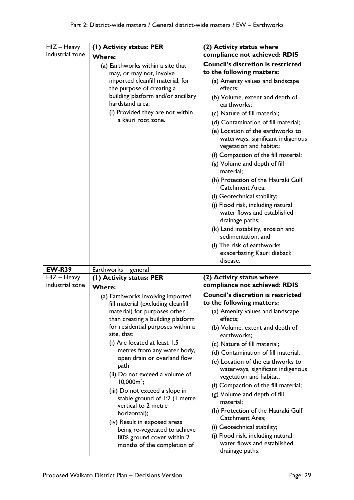| $HIZ - Heavy$<br>industrial zone | (I) Activity status: PER<br><b>Where:</b>                                                                                                                                                                                                                                                                                                                                                                                                                                                                                                                        | (2) Activity status where<br>compliance not achieved: RDIS                                                                                                                                                                                                                                                                                                                                                                                                                                                                                                             |
|----------------------------------|------------------------------------------------------------------------------------------------------------------------------------------------------------------------------------------------------------------------------------------------------------------------------------------------------------------------------------------------------------------------------------------------------------------------------------------------------------------------------------------------------------------------------------------------------------------|------------------------------------------------------------------------------------------------------------------------------------------------------------------------------------------------------------------------------------------------------------------------------------------------------------------------------------------------------------------------------------------------------------------------------------------------------------------------------------------------------------------------------------------------------------------------|
|                                  | (a) Earthworks within a site that<br>may, or may not, involve                                                                                                                                                                                                                                                                                                                                                                                                                                                                                                    | <b>Council's discretion is restricted</b><br>to the following matters:                                                                                                                                                                                                                                                                                                                                                                                                                                                                                                 |
|                                  | imported cleanfill material, for<br>the purpose of creating a                                                                                                                                                                                                                                                                                                                                                                                                                                                                                                    | (a) Amenity values and landscape<br>effects;                                                                                                                                                                                                                                                                                                                                                                                                                                                                                                                           |
|                                  | building platform and/or ancillary<br>hardstand area:<br>(i) Provided they are not within                                                                                                                                                                                                                                                                                                                                                                                                                                                                        | (b) Volume, extent and depth of<br>earthworks;                                                                                                                                                                                                                                                                                                                                                                                                                                                                                                                         |
|                                  | a kauri root zone.                                                                                                                                                                                                                                                                                                                                                                                                                                                                                                                                               | (c) Nature of fill material;<br>(d) Contamination of fill material;<br>(e) Location of the earthworks to<br>waterways, significant indigenous<br>vegetation and habitat;<br>(f) Compaction of the fill material;<br>(g) Volume and depth of fill<br>material;<br>(h) Protection of the Hauraki Gulf<br><b>Catchment Area:</b><br>(i) Geotechnical stability;<br>(j) Flood risk, including natural<br>water flows and established                                                                                                                                       |
|                                  |                                                                                                                                                                                                                                                                                                                                                                                                                                                                                                                                                                  | drainage paths;<br>(k) Land instability, erosion and<br>sedimentation; and<br>(I) The risk of earthworks<br>exacerbating Kauri dieback<br>disease.                                                                                                                                                                                                                                                                                                                                                                                                                     |
| <b>EW-R39</b>                    | Earthworks - general                                                                                                                                                                                                                                                                                                                                                                                                                                                                                                                                             |                                                                                                                                                                                                                                                                                                                                                                                                                                                                                                                                                                        |
| HIZ - Heavy                      | (1) Activity status: PER                                                                                                                                                                                                                                                                                                                                                                                                                                                                                                                                         | (2) Activity status where                                                                                                                                                                                                                                                                                                                                                                                                                                                                                                                                              |
| industrial zone                  | <b>Where:</b>                                                                                                                                                                                                                                                                                                                                                                                                                                                                                                                                                    | compliance not achieved: RDIS                                                                                                                                                                                                                                                                                                                                                                                                                                                                                                                                          |
|                                  | (a) Earthworks involving imported<br>fill material (excluding cleanfill<br>material) for purposes other<br>than creating a building platform<br>for residential purposes within a<br>site, that:<br>(i) Are located at least 1.5<br>metres from any water body,<br>open drain or overland flow<br>path<br>(ii) Do not exceed a volume of<br>$10,000m^3;$<br>(iii) Do not exceed a slope in<br>stable ground of 1:2 (1 metre<br>vertical to 2 metre<br>horizontal);<br>(iv) Result in exposed areas<br>being re-vegetated to achieve<br>80% ground cover within 2 | <b>Council's discretion is restricted</b><br>to the following matters:<br>(a) Amenity values and landscape<br>effects;<br>(b) Volume, extent and depth of<br>earthworks;<br>(c) Nature of fill material;<br>(d) Contamination of fill material;<br>(e) Location of the earthworks to<br>waterways, significant indigenous<br>vegetation and habitat;<br>(f) Compaction of the fill material;<br>(g) Volume and depth of fill<br>material;<br>(h) Protection of the Hauraki Gulf<br>Catchment Area;<br>(i) Geotechnical stability;<br>(j) Flood risk, including natural |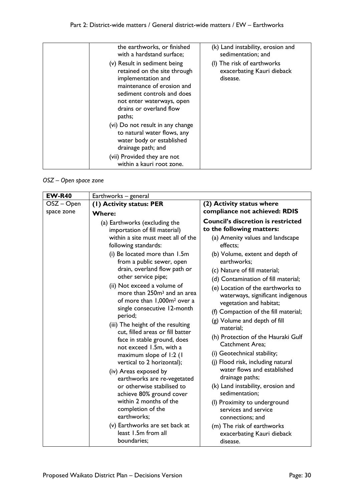| the earthworks, or finished<br>with a hardstand surface;                                                                                                                                                         | (k) Land instability, erosion and<br>sedimentation; and              |
|------------------------------------------------------------------------------------------------------------------------------------------------------------------------------------------------------------------|----------------------------------------------------------------------|
| (v) Result in sediment being<br>retained on the site through<br>implementation and<br>maintenance of erosion and<br>sediment controls and does<br>not enter waterways, open<br>drains or overland flow<br>paths; | (I) The risk of earthworks<br>exacerbating Kauri dieback<br>disease. |
| (vi) Do not result in any change<br>to natural water flows, any<br>water body or established<br>drainage path; and<br>(vii) Provided they are not<br>within a kauri root zone.                                   |                                                                      |

*OSZ – Open space zone*

| <b>EW-R40</b> | Earthworks - general                                                                                                                                                                                                                                                                                                                                                                                                                                                                                                                                                                                                                  |                                                                                                                                                                                                                                                                                                                                                                                                                                                                                                                                                                                                                          |  |
|---------------|---------------------------------------------------------------------------------------------------------------------------------------------------------------------------------------------------------------------------------------------------------------------------------------------------------------------------------------------------------------------------------------------------------------------------------------------------------------------------------------------------------------------------------------------------------------------------------------------------------------------------------------|--------------------------------------------------------------------------------------------------------------------------------------------------------------------------------------------------------------------------------------------------------------------------------------------------------------------------------------------------------------------------------------------------------------------------------------------------------------------------------------------------------------------------------------------------------------------------------------------------------------------------|--|
| OSZ – Open    | (1) Activity status: PER<br>(2) Activity status where                                                                                                                                                                                                                                                                                                                                                                                                                                                                                                                                                                                 |                                                                                                                                                                                                                                                                                                                                                                                                                                                                                                                                                                                                                          |  |
| space zone    | <b>Where:</b>                                                                                                                                                                                                                                                                                                                                                                                                                                                                                                                                                                                                                         | compliance not achieved: RDIS                                                                                                                                                                                                                                                                                                                                                                                                                                                                                                                                                                                            |  |
|               | (a) Earthworks (excluding the<br>importation of fill material)<br>within a site must meet all of the<br>following standards:<br>(i) Be located more than 1.5m<br>from a public sewer, open<br>drain, overland flow path or<br>other service pipe;<br>(ii) Not exceed a volume of<br>more than 250m <sup>3</sup> and an area<br>of more than 1,000m <sup>2</sup> over a<br>single consecutive 12-month<br>period;<br>(iii) The height of the resulting<br>cut, filled areas or fill batter<br>face in stable ground, does<br>not exceed 1.5m, with a<br>maximum slope of 1:2 (1<br>vertical to 2 horizontal);<br>(iv) Areas exposed by | <b>Council's discretion is restricted</b><br>to the following matters:<br>(a) Amenity values and landscape<br>effects;<br>(b) Volume, extent and depth of<br>earthworks;<br>(c) Nature of fill material;<br>(d) Contamination of fill material;<br>(e) Location of the earthworks to<br>waterways, significant indigenous<br>vegetation and habitat;<br>(f) Compaction of the fill material;<br>(g) Volume and depth of fill<br>material;<br>(h) Protection of the Hauraki Gulf<br>Catchment Area;<br>(i) Geotechnical stability;<br>(j) Flood risk, including natural<br>water flows and established<br>drainage paths; |  |
|               | earthworks are re-vegetated<br>or otherwise stabilised to<br>achieve 80% ground cover<br>within 2 months of the                                                                                                                                                                                                                                                                                                                                                                                                                                                                                                                       | (k) Land instability, erosion and<br>sedimentation;<br>(I) Proximity to underground                                                                                                                                                                                                                                                                                                                                                                                                                                                                                                                                      |  |
|               | completion of the<br>earthworks;                                                                                                                                                                                                                                                                                                                                                                                                                                                                                                                                                                                                      | services and service<br>connections; and                                                                                                                                                                                                                                                                                                                                                                                                                                                                                                                                                                                 |  |
|               | (v) Earthworks are set back at<br>least 1.5m from all<br>boundaries;                                                                                                                                                                                                                                                                                                                                                                                                                                                                                                                                                                  | (m) The risk of earthworks<br>exacerbating Kauri dieback<br>disease.                                                                                                                                                                                                                                                                                                                                                                                                                                                                                                                                                     |  |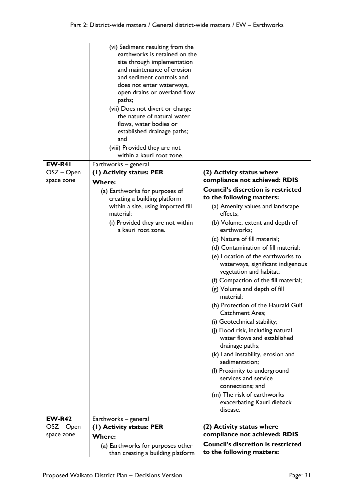|               | (vi) Sediment resulting from the                               |                                                              |
|---------------|----------------------------------------------------------------|--------------------------------------------------------------|
|               | earthworks is retained on the                                  |                                                              |
|               | site through implementation                                    |                                                              |
|               | and maintenance of erosion                                     |                                                              |
|               | and sediment controls and                                      |                                                              |
|               | does not enter waterways,                                      |                                                              |
|               | open drains or overland flow                                   |                                                              |
|               | paths;                                                         |                                                              |
|               |                                                                |                                                              |
|               | (vii) Does not divert or change<br>the nature of natural water |                                                              |
|               |                                                                |                                                              |
|               | flows, water bodies or                                         |                                                              |
|               | established drainage paths;                                    |                                                              |
|               | and                                                            |                                                              |
|               | (viii) Provided they are not                                   |                                                              |
|               | within a kauri root zone.                                      |                                                              |
| EW-R41        | Earthworks - general                                           |                                                              |
| OSZ – Open    | (I) Activity status: PER                                       | (2) Activity status where                                    |
| space zone    | <b>Where:</b>                                                  | compliance not achieved: RDIS                                |
|               |                                                                | <b>Council's discretion is restricted</b>                    |
|               | (a) Earthworks for purposes of                                 |                                                              |
|               | creating a building platform                                   | to the following matters:                                    |
|               | within a site, using imported fill<br>material:                | (a) Amenity values and landscape<br>effects;                 |
|               | (i) Provided they are not within<br>a kauri root zone.         | (b) Volume, extent and depth of<br>earthworks;               |
|               |                                                                |                                                              |
|               |                                                                | (c) Nature of fill material;                                 |
|               |                                                                | (d) Contamination of fill material;                          |
|               |                                                                | (e) Location of the earthworks to                            |
|               |                                                                | waterways, significant indigenous<br>vegetation and habitat; |
|               |                                                                | (f) Compaction of the fill material;                         |
|               |                                                                |                                                              |
|               |                                                                | (g) Volume and depth of fill<br>material;                    |
|               |                                                                | (h) Protection of the Hauraki Gulf<br>Catchment Area;        |
|               |                                                                | (i) Geotechnical stability;                                  |
|               |                                                                | (j) Flood risk, including natural                            |
|               |                                                                | water flows and established                                  |
|               |                                                                |                                                              |
|               |                                                                | drainage paths;                                              |
|               |                                                                | (k) Land instability, erosion and<br>sedimentation;          |
|               |                                                                | (I) Proximity to underground                                 |
|               |                                                                | services and service                                         |
|               |                                                                |                                                              |
|               |                                                                | connections; and                                             |
|               |                                                                | (m) The risk of earthworks                                   |
|               |                                                                | exacerbating Kauri dieback                                   |
|               |                                                                | disease.                                                     |
| <b>EW-R42</b> | Earthworks - general                                           |                                                              |
| OSZ – Open    | (1) Activity status: PER                                       | (2) Activity status where                                    |
| space zone    | <b>Where:</b>                                                  | compliance not achieved: RDIS                                |
|               | (a) Earthworks for purposes other                              | <b>Council's discretion is restricted</b>                    |
|               | than creating a building platform                              | to the following matters:                                    |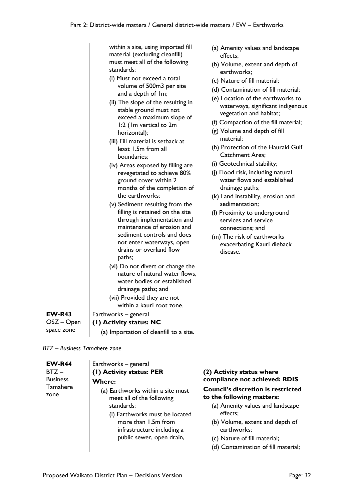| <b>EW-R43</b> | within a site, using imported fill<br>material (excluding cleanfill)<br>must meet all of the following<br>standards:<br>(i) Must not exceed a total<br>volume of 500m3 per site<br>and a depth of Im;<br>(ii) The slope of the resulting in<br>stable ground must not<br>exceed a maximum slope of<br>1:2 (Im vertical to 2m)<br>horizontal);<br>(iii) Fill material is setback at<br>least 1.5m from all<br>boundaries;<br>(iv) Areas exposed by filling are<br>revegetated to achieve 80%<br>ground cover within 2<br>months of the completion of<br>the earthworks;<br>(v) Sediment resulting from the<br>filling is retained on the site<br>through implementation and<br>maintenance of erosion and<br>sediment controls and does<br>not enter waterways, open<br>drains or overland flow<br>paths;<br>(vi) Do not divert or change the<br>nature of natural water flows,<br>water bodies or established<br>drainage paths; and<br>(vii) Provided they are not<br>within a kauri root zone.<br>Earthworks - general | (a) Amenity values and landscape<br>effects;<br>(b) Volume, extent and depth of<br>earthworks;<br>(c) Nature of fill material;<br>(d) Contamination of fill material;<br>(e) Location of the earthworks to<br>waterways, significant indigenous<br>vegetation and habitat;<br>(f) Compaction of the fill material;<br>(g) Volume and depth of fill<br>material:<br>(h) Protection of the Hauraki Gulf<br><b>Catchment Area;</b><br>(i) Geotechnical stability;<br>(j) Flood risk, including natural<br>water flows and established<br>drainage paths;<br>(k) Land instability, erosion and<br>sedimentation;<br>(I) Proximity to underground<br>services and service<br>connections; and<br>(m) The risk of earthworks<br>exacerbating Kauri dieback<br>disease. |
|---------------|--------------------------------------------------------------------------------------------------------------------------------------------------------------------------------------------------------------------------------------------------------------------------------------------------------------------------------------------------------------------------------------------------------------------------------------------------------------------------------------------------------------------------------------------------------------------------------------------------------------------------------------------------------------------------------------------------------------------------------------------------------------------------------------------------------------------------------------------------------------------------------------------------------------------------------------------------------------------------------------------------------------------------|------------------------------------------------------------------------------------------------------------------------------------------------------------------------------------------------------------------------------------------------------------------------------------------------------------------------------------------------------------------------------------------------------------------------------------------------------------------------------------------------------------------------------------------------------------------------------------------------------------------------------------------------------------------------------------------------------------------------------------------------------------------|
| OSZ – Open    | (1) Activity status: NC                                                                                                                                                                                                                                                                                                                                                                                                                                                                                                                                                                                                                                                                                                                                                                                                                                                                                                                                                                                                  |                                                                                                                                                                                                                                                                                                                                                                                                                                                                                                                                                                                                                                                                                                                                                                  |
| space zone    | (a) Importation of cleanfill to a site.                                                                                                                                                                                                                                                                                                                                                                                                                                                                                                                                                                                                                                                                                                                                                                                                                                                                                                                                                                                  |                                                                                                                                                                                                                                                                                                                                                                                                                                                                                                                                                                                                                                                                                                                                                                  |
|               |                                                                                                                                                                                                                                                                                                                                                                                                                                                                                                                                                                                                                                                                                                                                                                                                                                                                                                                                                                                                                          |                                                                                                                                                                                                                                                                                                                                                                                                                                                                                                                                                                                                                                                                                                                                                                  |

#### *BTZ – Business Tamahere zone*

| <b>EW-R44</b>   | Earthworks - general              |                                           |
|-----------------|-----------------------------------|-------------------------------------------|
| $BTZ -$         | (1) Activity status: PER          | (2) Activity status where                 |
| <b>Business</b> | <b>Where:</b>                     | compliance not achieved: RDIS             |
| Tamahere        | (a) Earthworks within a site must | <b>Council's discretion is restricted</b> |
| zone            | meet all of the following         | to the following matters:                 |
|                 | standards:                        | (a) Amenity values and landscape          |
|                 | (i) Earthworks must be located    | effects;                                  |
|                 | more than 1.5m from               | (b) Volume, extent and depth of           |
|                 | infrastructure including a        | earthworks;                               |
|                 | public sewer, open drain,         | (c) Nature of fill material;              |
|                 |                                   | (d) Contamination of fill material;       |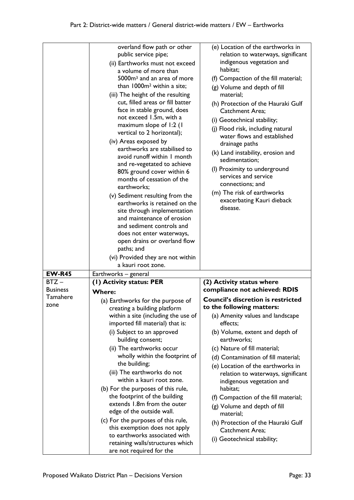|                 | overland flow path or other<br>public service pipe;<br>(ii) Earthworks must not exceed<br>a volume of more than<br>5000m <sup>3</sup> and an area of more<br>than 1000m <sup>2</sup> within a site;<br>(iii) The height of the resulting<br>cut, filled areas or fill batter<br>face in stable ground, does<br>not exceed 1.5m, with a<br>maximum slope of 1:2 (1<br>vertical to 2 horizontal);<br>(iv) Areas exposed by<br>earthworks are stabilised to<br>avoid runoff within I month<br>and re-vegetated to achieve<br>80% ground cover within 6<br>months of cessation of the<br>earthworks;<br>(v) Sediment resulting from the<br>earthworks is retained on the<br>site through implementation<br>and maintenance of erosion<br>and sediment controls and<br>does not enter waterways,<br>open drains or overland flow<br>paths; and<br>(vi) Provided they are not within<br>a kauri root zone. | (e) Location of the earthworks in<br>relation to waterways, significant<br>indigenous vegetation and<br>habitat;<br>(f) Compaction of the fill material;<br>(g) Volume and depth of fill<br>material;<br>(h) Protection of the Hauraki Gulf<br><b>Catchment Area:</b><br>(i) Geotechnical stability;<br>(j) Flood risk, including natural<br>water flows and established<br>drainage paths<br>(k) Land instability, erosion and<br>sedimentation;<br>(I) Proximity to underground<br>services and service<br>connections; and<br>(m) The risk of earthworks<br>exacerbating Kauri dieback<br>disease. |
|-----------------|------------------------------------------------------------------------------------------------------------------------------------------------------------------------------------------------------------------------------------------------------------------------------------------------------------------------------------------------------------------------------------------------------------------------------------------------------------------------------------------------------------------------------------------------------------------------------------------------------------------------------------------------------------------------------------------------------------------------------------------------------------------------------------------------------------------------------------------------------------------------------------------------------|-------------------------------------------------------------------------------------------------------------------------------------------------------------------------------------------------------------------------------------------------------------------------------------------------------------------------------------------------------------------------------------------------------------------------------------------------------------------------------------------------------------------------------------------------------------------------------------------------------|
| <b>EW-R45</b>   | Earthworks - general                                                                                                                                                                                                                                                                                                                                                                                                                                                                                                                                                                                                                                                                                                                                                                                                                                                                                 |                                                                                                                                                                                                                                                                                                                                                                                                                                                                                                                                                                                                       |
| $BTZ -$         | (1) Activity status: PER                                                                                                                                                                                                                                                                                                                                                                                                                                                                                                                                                                                                                                                                                                                                                                                                                                                                             | (2) Activity status where                                                                                                                                                                                                                                                                                                                                                                                                                                                                                                                                                                             |
| <b>Business</b> | <b>Where:</b>                                                                                                                                                                                                                                                                                                                                                                                                                                                                                                                                                                                                                                                                                                                                                                                                                                                                                        | compliance not achieved: RDIS                                                                                                                                                                                                                                                                                                                                                                                                                                                                                                                                                                         |
| Tamahere        | (a) Earthworks for the purpose of                                                                                                                                                                                                                                                                                                                                                                                                                                                                                                                                                                                                                                                                                                                                                                                                                                                                    | <b>Council's discretion is restricted</b>                                                                                                                                                                                                                                                                                                                                                                                                                                                                                                                                                             |
| zone            | creating a building platform                                                                                                                                                                                                                                                                                                                                                                                                                                                                                                                                                                                                                                                                                                                                                                                                                                                                         | to the following matters:                                                                                                                                                                                                                                                                                                                                                                                                                                                                                                                                                                             |
|                 | within a site (including the use of<br>imported fill material) that is:                                                                                                                                                                                                                                                                                                                                                                                                                                                                                                                                                                                                                                                                                                                                                                                                                              | (a) Amenity values and landscape<br>effects;                                                                                                                                                                                                                                                                                                                                                                                                                                                                                                                                                          |
|                 | (i) Subject to an approved<br>building consent;                                                                                                                                                                                                                                                                                                                                                                                                                                                                                                                                                                                                                                                                                                                                                                                                                                                      | (b) Volume, extent and depth of<br>earthworks;                                                                                                                                                                                                                                                                                                                                                                                                                                                                                                                                                        |
|                 | (ii) The earthworks occur                                                                                                                                                                                                                                                                                                                                                                                                                                                                                                                                                                                                                                                                                                                                                                                                                                                                            | (c) Nature of fill material;                                                                                                                                                                                                                                                                                                                                                                                                                                                                                                                                                                          |
|                 | wholly within the footprint of                                                                                                                                                                                                                                                                                                                                                                                                                                                                                                                                                                                                                                                                                                                                                                                                                                                                       | (d) Contamination of fill material;                                                                                                                                                                                                                                                                                                                                                                                                                                                                                                                                                                   |
|                 | the building;                                                                                                                                                                                                                                                                                                                                                                                                                                                                                                                                                                                                                                                                                                                                                                                                                                                                                        | (e) Location of the earthworks in                                                                                                                                                                                                                                                                                                                                                                                                                                                                                                                                                                     |
|                 | (iii) The earthworks do not<br>within a kauri root zone.                                                                                                                                                                                                                                                                                                                                                                                                                                                                                                                                                                                                                                                                                                                                                                                                                                             | relation to waterways, significant<br>indigenous vegetation and                                                                                                                                                                                                                                                                                                                                                                                                                                                                                                                                       |
|                 | (b) For the purposes of this rule,                                                                                                                                                                                                                                                                                                                                                                                                                                                                                                                                                                                                                                                                                                                                                                                                                                                                   | habitat;                                                                                                                                                                                                                                                                                                                                                                                                                                                                                                                                                                                              |
|                 | the footprint of the building                                                                                                                                                                                                                                                                                                                                                                                                                                                                                                                                                                                                                                                                                                                                                                                                                                                                        | (f) Compaction of the fill material;                                                                                                                                                                                                                                                                                                                                                                                                                                                                                                                                                                  |
|                 | extends 1.8m from the outer<br>edge of the outside wall.                                                                                                                                                                                                                                                                                                                                                                                                                                                                                                                                                                                                                                                                                                                                                                                                                                             | (g) Volume and depth of fill<br>material;                                                                                                                                                                                                                                                                                                                                                                                                                                                                                                                                                             |
|                 | (c) For the purposes of this rule,<br>this exemption does not apply                                                                                                                                                                                                                                                                                                                                                                                                                                                                                                                                                                                                                                                                                                                                                                                                                                  | (h) Protection of the Hauraki Gulf<br>Catchment Area;                                                                                                                                                                                                                                                                                                                                                                                                                                                                                                                                                 |
|                 | to earthworks associated with<br>retaining walls/structures which<br>are not required for the                                                                                                                                                                                                                                                                                                                                                                                                                                                                                                                                                                                                                                                                                                                                                                                                        | (i) Geotechnical stability;                                                                                                                                                                                                                                                                                                                                                                                                                                                                                                                                                                           |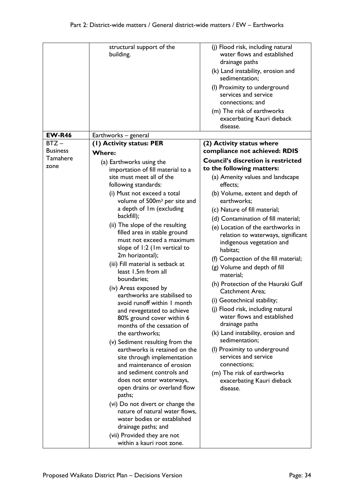|                            | structural support of the<br>building.                                                                                                                                                                                                                                                                                                                                                                                                                                                                                                                                                                                                                                                                                                                                                                                                                                                                                                                                           | (j) Flood risk, including natural<br>water flows and established<br>drainage paths<br>(k) Land instability, erosion and<br>sedimentation;<br>(I) Proximity to underground<br>services and service<br>connections; and<br>(m) The risk of earthworks<br>exacerbating Kauri dieback<br>disease.                                                                                                                                                                                                                                                                                                                                                                                                                       |
|----------------------------|----------------------------------------------------------------------------------------------------------------------------------------------------------------------------------------------------------------------------------------------------------------------------------------------------------------------------------------------------------------------------------------------------------------------------------------------------------------------------------------------------------------------------------------------------------------------------------------------------------------------------------------------------------------------------------------------------------------------------------------------------------------------------------------------------------------------------------------------------------------------------------------------------------------------------------------------------------------------------------|---------------------------------------------------------------------------------------------------------------------------------------------------------------------------------------------------------------------------------------------------------------------------------------------------------------------------------------------------------------------------------------------------------------------------------------------------------------------------------------------------------------------------------------------------------------------------------------------------------------------------------------------------------------------------------------------------------------------|
| <b>EW-R46</b>              | Earthworks - general                                                                                                                                                                                                                                                                                                                                                                                                                                                                                                                                                                                                                                                                                                                                                                                                                                                                                                                                                             |                                                                                                                                                                                                                                                                                                                                                                                                                                                                                                                                                                                                                                                                                                                     |
| $BTZ -$<br><b>Business</b> | (I) Activity status: PER                                                                                                                                                                                                                                                                                                                                                                                                                                                                                                                                                                                                                                                                                                                                                                                                                                                                                                                                                         | (2) Activity status where<br>compliance not achieved: RDIS                                                                                                                                                                                                                                                                                                                                                                                                                                                                                                                                                                                                                                                          |
| Tamahere                   | <b>Where:</b>                                                                                                                                                                                                                                                                                                                                                                                                                                                                                                                                                                                                                                                                                                                                                                                                                                                                                                                                                                    | <b>Council's discretion is restricted</b>                                                                                                                                                                                                                                                                                                                                                                                                                                                                                                                                                                                                                                                                           |
| zone                       | (a) Earthworks using the<br>importation of fill material to a                                                                                                                                                                                                                                                                                                                                                                                                                                                                                                                                                                                                                                                                                                                                                                                                                                                                                                                    | to the following matters:                                                                                                                                                                                                                                                                                                                                                                                                                                                                                                                                                                                                                                                                                           |
|                            | site must meet all of the<br>following standards:                                                                                                                                                                                                                                                                                                                                                                                                                                                                                                                                                                                                                                                                                                                                                                                                                                                                                                                                | (a) Amenity values and landscape<br>effects;                                                                                                                                                                                                                                                                                                                                                                                                                                                                                                                                                                                                                                                                        |
|                            | (i) Must not exceed a total<br>volume of 500m <sup>3</sup> per site and<br>a depth of Im (excluding<br>backfill);<br>(ii) The slope of the resulting<br>filled area in stable ground<br>must not exceed a maximum<br>slope of 1:2 (1m vertical to<br>2m horizontal);<br>(iii) Fill material is setback at<br>least 1.5m from all<br>boundaries;<br>(iv) Areas exposed by<br>earthworks are stabilised to<br>avoid runoff within I month<br>and revegetated to achieve<br>80% ground cover within 6<br>months of the cessation of<br>the earthworks;<br>(v) Sediment resulting from the<br>earthworks is retained on the<br>site through implementation<br>and maintenance of erosion<br>and sediment controls and<br>does not enter waterways,<br>open drains or overland flow<br>paths;<br>(vi) Do not divert or change the<br>nature of natural water flows,<br>water bodies or established<br>drainage paths; and<br>(vii) Provided they are not<br>within a kauri root zone. | (b) Volume, extent and depth of<br>earthworks;<br>(c) Nature of fill material;<br>(d) Contamination of fill material;<br>(e) Location of the earthworks in<br>relation to waterways, significant<br>indigenous vegetation and<br>habitat;<br>(f) Compaction of the fill material;<br>(g) Volume and depth of fill<br>material;<br>(h) Protection of the Hauraki Gulf<br>Catchment Area;<br>(i) Geotechnical stability;<br>(j) Flood risk, including natural<br>water flows and established<br>drainage paths<br>(k) Land instability, erosion and<br>sedimentation;<br>(I) Proximity to underground<br>services and service<br>connections;<br>(m) The risk of earthworks<br>exacerbating Kauri dieback<br>disease. |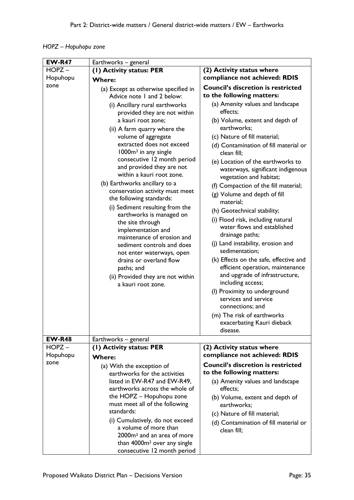|  | HOPZ – Hopuhopu zone |  |
|--|----------------------|--|
|--|----------------------|--|

| <b>EW-R47</b> | Earthworks - general                                                                                                                                                                                                                                                                                                                                                                                                                                                                                                                                                                                                                                                                                                                |                                                                                                                                                                                                                                                                                                                                                                                                                                                                                                                                                                                                                                                                                                                                                                                                                                                        |  |
|---------------|-------------------------------------------------------------------------------------------------------------------------------------------------------------------------------------------------------------------------------------------------------------------------------------------------------------------------------------------------------------------------------------------------------------------------------------------------------------------------------------------------------------------------------------------------------------------------------------------------------------------------------------------------------------------------------------------------------------------------------------|--------------------------------------------------------------------------------------------------------------------------------------------------------------------------------------------------------------------------------------------------------------------------------------------------------------------------------------------------------------------------------------------------------------------------------------------------------------------------------------------------------------------------------------------------------------------------------------------------------------------------------------------------------------------------------------------------------------------------------------------------------------------------------------------------------------------------------------------------------|--|
| $HOPZ -$      | (I) Activity status: PER<br>(2) Activity status where                                                                                                                                                                                                                                                                                                                                                                                                                                                                                                                                                                                                                                                                               |                                                                                                                                                                                                                                                                                                                                                                                                                                                                                                                                                                                                                                                                                                                                                                                                                                                        |  |
| Hopuhopu      | <b>Where:</b>                                                                                                                                                                                                                                                                                                                                                                                                                                                                                                                                                                                                                                                                                                                       | compliance not achieved: RDIS                                                                                                                                                                                                                                                                                                                                                                                                                                                                                                                                                                                                                                                                                                                                                                                                                          |  |
| zone          | (a) Except as otherwise specified in<br>Advice note 1 and 2 below:                                                                                                                                                                                                                                                                                                                                                                                                                                                                                                                                                                                                                                                                  | <b>Council's discretion is restricted</b><br>to the following matters:                                                                                                                                                                                                                                                                                                                                                                                                                                                                                                                                                                                                                                                                                                                                                                                 |  |
| <b>EW-R48</b> | (i) Ancillary rural earthworks<br>provided they are not within<br>a kauri root zone;<br>(ii) A farm quarry where the<br>volume of aggregate<br>extracted does not exceed<br>1000m <sup>3</sup> in any single<br>consecutive 12 month period<br>and provided they are not<br>within a kauri root zone.<br>(b) Earthworks ancillary to a<br>conservation activity must meet<br>the following standards:<br>(i) Sediment resulting from the<br>earthworks is managed on<br>the site through<br>implementation and<br>maintenance of erosion and<br>sediment controls and does<br>not enter waterways, open<br>drains or overland flow<br>paths; and<br>(ii) Provided they are not within<br>a kauri root zone.<br>Earthworks - general | (a) Amenity values and landscape<br>effects;<br>(b) Volume, extent and depth of<br>earthworks;<br>(c) Nature of fill material;<br>(d) Contamination of fill material or<br>clean fill;<br>(e) Location of the earthworks to<br>waterways, significant indigenous<br>vegetation and habitat;<br>(f) Compaction of the fill material;<br>(g) Volume and depth of fill<br>material;<br>(h) Geotechnical stability;<br>(i) Flood risk, including natural<br>water flows and established<br>drainage paths;<br>(j) Land instability, erosion and<br>sedimentation;<br>(k) Effects on the safe, effective and<br>efficient operation, maintenance<br>and upgrade of infrastructure,<br>including access;<br>(I) Proximity to underground<br>services and service<br>connections; and<br>(m) The risk of earthworks<br>exacerbating Kauri dieback<br>disease. |  |
| $HOPZ -$      | (1) Activity status: PER                                                                                                                                                                                                                                                                                                                                                                                                                                                                                                                                                                                                                                                                                                            | (2) Activity status where                                                                                                                                                                                                                                                                                                                                                                                                                                                                                                                                                                                                                                                                                                                                                                                                                              |  |
| Hopuhopu      |                                                                                                                                                                                                                                                                                                                                                                                                                                                                                                                                                                                                                                                                                                                                     | compliance not achieved: RDIS                                                                                                                                                                                                                                                                                                                                                                                                                                                                                                                                                                                                                                                                                                                                                                                                                          |  |
| zone          | <b>Where:</b><br>(a) With the exception of<br>earthworks for the activities<br>listed in EW-R47 and EW-R49,<br>earthworks across the whole of<br>the HOPZ - Hopuhopu zone<br>must meet all of the following<br>standards:<br>(i) Cumulatively, do not exceed<br>a volume of more than<br>2000m <sup>3</sup> and an area of more<br>than 4000m <sup>2</sup> over any single<br>consecutive 12 month period                                                                                                                                                                                                                                                                                                                           | <b>Council's discretion is restricted</b><br>to the following matters:<br>(a) Amenity values and landscape<br>effects:<br>(b) Volume, extent and depth of<br>earthworks;<br>(c) Nature of fill material;<br>(d) Contamination of fill material or<br>clean fill;                                                                                                                                                                                                                                                                                                                                                                                                                                                                                                                                                                                       |  |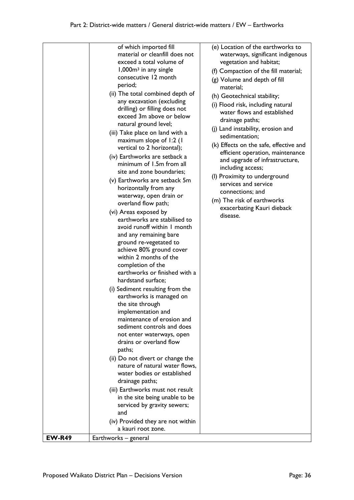|               | of which imported fill<br>material or cleanfill does not<br>exceed a total volume of<br>$1,000m3$ in any single<br>consecutive 12 month<br>period;<br>(ii) The total combined depth of<br>any excavation (excluding<br>drilling) or filling does not<br>exceed 3m above or below<br>natural ground level;<br>(iii) Take place on land with a<br>maximum slope of 1:2 (1<br>vertical to 2 horizontal);<br>(iv) Earthworks are setback a<br>minimum of 1.5m from all<br>site and zone boundaries;<br>(v) Earthworks are setback 5m<br>horizontally from any                                                                                                                                                                                                                                                                                                                                  | (e) Location of the earthworks to<br>waterways, significant indigenous<br>vegetation and habitat;<br>(f) Compaction of the fill material;<br>(g) Volume and depth of fill<br>material;<br>(h) Geotechnical stability;<br>(i) Flood risk, including natural<br>water flows and established<br>drainage paths;<br>(j) Land instability, erosion and<br>sedimentation;<br>(k) Effects on the safe, effective and<br>efficient operation, maintenance<br>and upgrade of infrastructure,<br>including access;<br>(I) Proximity to underground<br>services and service<br>connections; and |
|---------------|--------------------------------------------------------------------------------------------------------------------------------------------------------------------------------------------------------------------------------------------------------------------------------------------------------------------------------------------------------------------------------------------------------------------------------------------------------------------------------------------------------------------------------------------------------------------------------------------------------------------------------------------------------------------------------------------------------------------------------------------------------------------------------------------------------------------------------------------------------------------------------------------|--------------------------------------------------------------------------------------------------------------------------------------------------------------------------------------------------------------------------------------------------------------------------------------------------------------------------------------------------------------------------------------------------------------------------------------------------------------------------------------------------------------------------------------------------------------------------------------|
| <b>EW-R49</b> | waterway, open drain or<br>overland flow path;<br>(vi) Areas exposed by<br>earthworks are stabilised to<br>avoid runoff within I month<br>and any remaining bare<br>ground re-vegetated to<br>achieve 80% ground cover<br>within 2 months of the<br>completion of the<br>earthworks or finished with a<br>hardstand surface;<br>(i) Sediment resulting from the<br>earthworks is managed on<br>the site through<br>implementation and<br>maintenance of erosion and<br>sediment controls and does<br>not enter waterways, open<br>drains or overland flow<br>paths;<br>(ii) Do not divert or change the<br>nature of natural water flows,<br>water bodies or established<br>drainage paths;<br>(iii) Earthworks must not result<br>in the site being unable to be<br>serviced by gravity sewers;<br>and<br>(iv) Provided they are not within<br>a kauri root zone.<br>Earthworks – general | (m) The risk of earthworks<br>exacerbating Kauri dieback<br>disease.                                                                                                                                                                                                                                                                                                                                                                                                                                                                                                                 |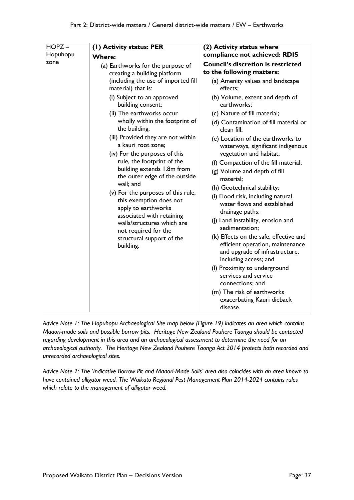*Advice Note 1: The Hopuhopu Archaeological Site map below (Figure 19) indicates an area which contains Maaori-made soils and possible borrow pits. Heritage New Zealand Pouhere Taonga should be contacted regarding development in this area and an archaeological assessment to determine the need for an archaeological authority. The Heritage New Zealand Pouhere Taonga Act 2014 protects both recorded and unrecorded archaeological sites.*

*Advice Note 2: The 'Indicative Borrow Pit and Maaori-Made Soils' area also coincides with an area known to have contained alligator weed. The Waikato Regional Pest Management Plan 2014-2024 contains rules which relate to the management of alligator weed.*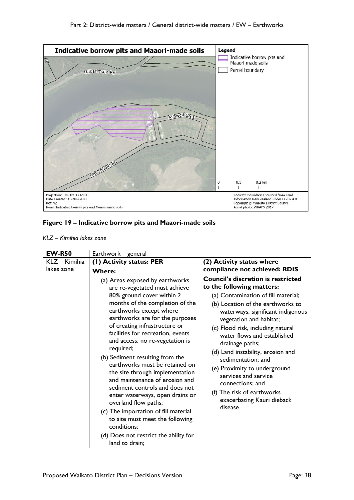

#### **Figure 19 – Indicative borrow pits and Maaori-made soils**

|  | KLZ – Kimihia lakes zone |  |  |
|--|--------------------------|--|--|
|--|--------------------------|--|--|

| <b>EW-R50</b> | Earthwork - general                                                                                                                                                                                                                                                                                                                                                                                                                                                                                                                                                                                                                                                                                              |                                                                                                                                                                                                                                                                                                                                                                                                                                                                                                                          |
|---------------|------------------------------------------------------------------------------------------------------------------------------------------------------------------------------------------------------------------------------------------------------------------------------------------------------------------------------------------------------------------------------------------------------------------------------------------------------------------------------------------------------------------------------------------------------------------------------------------------------------------------------------------------------------------------------------------------------------------|--------------------------------------------------------------------------------------------------------------------------------------------------------------------------------------------------------------------------------------------------------------------------------------------------------------------------------------------------------------------------------------------------------------------------------------------------------------------------------------------------------------------------|
| KLZ - Kimihia | (I) Activity status: PER                                                                                                                                                                                                                                                                                                                                                                                                                                                                                                                                                                                                                                                                                         | (2) Activity status where                                                                                                                                                                                                                                                                                                                                                                                                                                                                                                |
| lakes zone    | <b>Where:</b>                                                                                                                                                                                                                                                                                                                                                                                                                                                                                                                                                                                                                                                                                                    | compliance not achieved: RDIS                                                                                                                                                                                                                                                                                                                                                                                                                                                                                            |
|               | (a) Areas exposed by earthworks<br>are re-vegetated must achieve<br>80% ground cover within 2<br>months of the completion of the<br>earthworks except where<br>earthworks are for the purposes<br>of creating infrastructure or<br>facilities for recreation, events<br>and access, no re-vegetation is<br>required;<br>(b) Sediment resulting from the<br>earthworks must be retained on<br>the site through implementation<br>and maintenance of erosion and<br>sediment controls and does not<br>enter waterways, open drains or<br>overland flow paths;<br>(c) The importation of fill material<br>to site must meet the following<br>conditions:<br>(d) Does not restrict the ability for<br>land to drain; | <b>Council's discretion is restricted</b><br>to the following matters:<br>(a) Contamination of fill material;<br>(b) Location of the earthworks to<br>waterways, significant indigenous<br>vegetation and habitat;<br>(c) Flood risk, including natural<br>water flows and established<br>drainage paths;<br>(d) Land instability, erosion and<br>sedimentation; and<br>(e) Proximity to underground<br>services and service<br>connections; and<br>(f) The risk of earthworks<br>exacerbating Kauri dieback<br>disease. |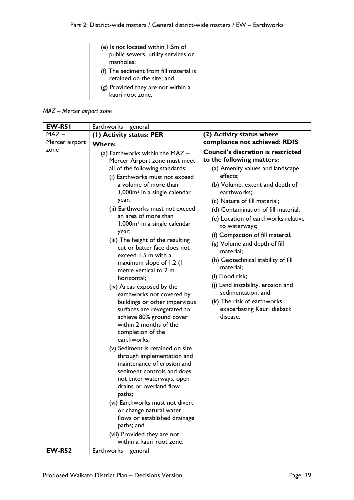| (e) Is not located within 1.5m of<br>public sewers, utility services or<br>manholes; |  |
|--------------------------------------------------------------------------------------|--|
| (f) The sediment from fill material is<br>retained on the site; and                  |  |
| (g) Provided they are not within a<br>kauri root zone.                               |  |

### *MAZ – Mercer airport zone*

| <b>EW-R51</b>  | Earthworks – general                                                                                                                                                                                                                                                                                                                                                                                                                                                                                                                                                                                                                                                                                                                                                                                                                                                                                                                                                                                                                                                                           |                                                                                                                                                                                                                                                                                                                                                                                                                                                                                                                                                                                                   |
|----------------|------------------------------------------------------------------------------------------------------------------------------------------------------------------------------------------------------------------------------------------------------------------------------------------------------------------------------------------------------------------------------------------------------------------------------------------------------------------------------------------------------------------------------------------------------------------------------------------------------------------------------------------------------------------------------------------------------------------------------------------------------------------------------------------------------------------------------------------------------------------------------------------------------------------------------------------------------------------------------------------------------------------------------------------------------------------------------------------------|---------------------------------------------------------------------------------------------------------------------------------------------------------------------------------------------------------------------------------------------------------------------------------------------------------------------------------------------------------------------------------------------------------------------------------------------------------------------------------------------------------------------------------------------------------------------------------------------------|
| $MAZ -$        | (1) Activity status: PER                                                                                                                                                                                                                                                                                                                                                                                                                                                                                                                                                                                                                                                                                                                                                                                                                                                                                                                                                                                                                                                                       | (2) Activity status where                                                                                                                                                                                                                                                                                                                                                                                                                                                                                                                                                                         |
| Mercer airport | <b>Where:</b>                                                                                                                                                                                                                                                                                                                                                                                                                                                                                                                                                                                                                                                                                                                                                                                                                                                                                                                                                                                                                                                                                  | compliance not achieved: RDIS                                                                                                                                                                                                                                                                                                                                                                                                                                                                                                                                                                     |
| zone           | (a) Earthworks within the MAZ -<br>Mercer Airport zone must meet<br>all of the following standards:<br>(i) Earthworks must not exceed<br>a volume of more than<br>1,000m <sup>3</sup> in a single calendar<br>year;<br>(ii) Earthworks must not exceed<br>an area of more than<br>1,000m <sup>2</sup> in a single calendar<br>year;<br>(iii) The height of the resulting<br>cut or batter face does not<br>exceed 1.5 m with a<br>maximum slope of 1:2 (1<br>metre vertical to 2 m<br>horizontal;<br>(iv) Areas exposed by the<br>earthworks not covered by<br>buildings or other impervious<br>surfaces are revegetated to<br>achieve 80% ground cover<br>within 2 months of the<br>completion of the<br>earthworks;<br>(v) Sediment is retained on site<br>through implementation and<br>maintenance of erosion and<br>sediment controls and does<br>not enter waterways, open<br>drains or overland flow<br>paths;<br>(vi) Earthworks must not divert<br>or change natural water<br>flows or established drainage<br>paths; and<br>(vii) Provided they are not<br>within a kauri root zone. | <b>Council's discretion is restricted</b><br>to the following matters:<br>(a) Amenity values and landscape<br>effects;<br>(b) Volume, extent and depth of<br>earthworks;<br>(c) Nature of fill material;<br>(d) Contamination of fill material;<br>(e) Location of earthworks relative<br>to waterways;<br>(f) Compaction of fill material;<br>(g) Volume and depth of fill<br>material;<br>(h) Geotechnical stability of fill<br>material;<br>(i) Flood risk;<br>(j) Land instability, erosion and<br>sedimentation; and<br>(k) The risk of earthworks<br>exacerbating Kauri dieback<br>disease. |
| <b>EW-R52</b>  | Earthworks - general                                                                                                                                                                                                                                                                                                                                                                                                                                                                                                                                                                                                                                                                                                                                                                                                                                                                                                                                                                                                                                                                           |                                                                                                                                                                                                                                                                                                                                                                                                                                                                                                                                                                                                   |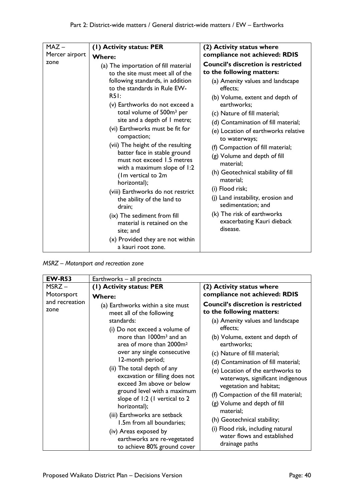| $MAZ -$<br>Mercer airport<br>zone | (1) Activity status: PER<br><b>Where:</b><br>(a) The importation of fill material<br>to the site must meet all of the<br>following standards, in addition<br>to the standards in Rule EW-<br>R51:<br>(v) Earthworks do not exceed a<br>total volume of 500m <sup>3</sup> per<br>site and a depth of I metre;<br>(vi) Earthworks must be fit for<br>compaction;<br>(vii) The height of the resulting<br>batter face in stable ground<br>must not exceed 1.5 metres<br>with a maximum slope of 1:2<br>(Im vertical to 2m<br>horizontal);<br>(viii) Earthworks do not restrict<br>the ability of the land to<br>drain;<br>(ix) The sediment from fill<br>material is retained on the<br>site; and<br>(x) Provided they are not within<br>a kauri root zone. | (2) Activity status where<br>compliance not achieved: RDIS<br><b>Council's discretion is restricted</b><br>to the following matters:<br>(a) Amenity values and landscape<br>effects:<br>(b) Volume, extent and depth of<br>earthworks;<br>(c) Nature of fill material;<br>(d) Contamination of fill material;<br>(e) Location of earthworks relative<br>to waterways;<br>(f) Compaction of fill material;<br>(g) Volume and depth of fill<br>material:<br>(h) Geotechnical stability of fill<br>material;<br>(i) Flood risk;<br>(j) Land instability, erosion and<br>sedimentation; and<br>(k) The risk of earthworks<br>exacerbating Kauri dieback<br>disease. |
|-----------------------------------|----------------------------------------------------------------------------------------------------------------------------------------------------------------------------------------------------------------------------------------------------------------------------------------------------------------------------------------------------------------------------------------------------------------------------------------------------------------------------------------------------------------------------------------------------------------------------------------------------------------------------------------------------------------------------------------------------------------------------------------------------------|-----------------------------------------------------------------------------------------------------------------------------------------------------------------------------------------------------------------------------------------------------------------------------------------------------------------------------------------------------------------------------------------------------------------------------------------------------------------------------------------------------------------------------------------------------------------------------------------------------------------------------------------------------------------|
|-----------------------------------|----------------------------------------------------------------------------------------------------------------------------------------------------------------------------------------------------------------------------------------------------------------------------------------------------------------------------------------------------------------------------------------------------------------------------------------------------------------------------------------------------------------------------------------------------------------------------------------------------------------------------------------------------------------------------------------------------------------------------------------------------------|-----------------------------------------------------------------------------------------------------------------------------------------------------------------------------------------------------------------------------------------------------------------------------------------------------------------------------------------------------------------------------------------------------------------------------------------------------------------------------------------------------------------------------------------------------------------------------------------------------------------------------------------------------------------|

*MSRZ – Motorsport and recreation zone*

| (2) Activity status where<br>compliance not achieved: RDIS                                                                                                                                                                                                                                                                                                                                                                                                                                                                                                                                                                                                                                                                                                                                                                                                                                                                                                                                                                                                        |
|-------------------------------------------------------------------------------------------------------------------------------------------------------------------------------------------------------------------------------------------------------------------------------------------------------------------------------------------------------------------------------------------------------------------------------------------------------------------------------------------------------------------------------------------------------------------------------------------------------------------------------------------------------------------------------------------------------------------------------------------------------------------------------------------------------------------------------------------------------------------------------------------------------------------------------------------------------------------------------------------------------------------------------------------------------------------|
| <b>Council's discretion is restricted</b><br>(a) Earthworks within a site must<br>to the following matters:<br>meet all of the following<br>(a) Amenity values and landscape<br>effects;<br>(i) Do not exceed a volume of<br>more than 1000m <sup>3</sup> and an<br>(b) Volume, extent and depth of<br>area of more than 2000m <sup>2</sup><br>earthworks;<br>over any single consecutive<br>(c) Nature of fill material;<br>(d) Contamination of fill material;<br>(ii) The total depth of any<br>(e) Location of the earthworks to<br>excavation or filling does not<br>waterways, significant indigenous<br>exceed 3m above or below<br>vegetation and habitat;<br>ground level with a maximum<br>(f) Compaction of the fill material;<br>slope of 1:2 (1 vertical to 2<br>(g) Volume and depth of fill<br>material;<br>(iii) Earthworks are setback<br>(h) Geotechnical stability;<br>1.5m from all boundaries;<br>(i) Flood risk, including natural<br>(iv) Areas exposed by<br>water flows and established<br>earthworks are re-vegetated<br>drainage paths |
| Earthworks - all precincts<br>(1) Activity status: PER<br>12-month period;<br>to achieve 80% ground cover                                                                                                                                                                                                                                                                                                                                                                                                                                                                                                                                                                                                                                                                                                                                                                                                                                                                                                                                                         |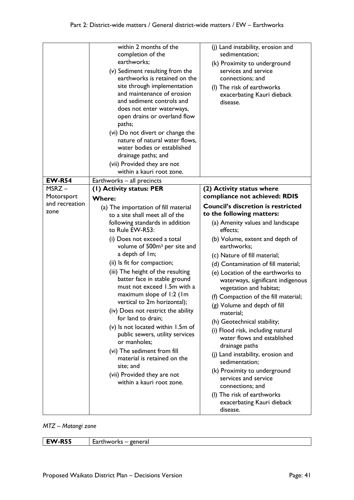|                        | within 2 months of the<br>completion of the<br>earthworks;<br>(v) Sediment resulting from the<br>earthworks is retained on the<br>site through implementation<br>and maintenance of erosion<br>and sediment controls and<br>does not enter waterways,<br>open drains or overland flow<br>paths;<br>(vi) Do not divert or change the<br>nature of natural water flows,<br>water bodies or established<br>drainage paths; and<br>(vii) Provided they are not<br>within a kauri root zone.                                                                                                                                                                                                                             | (j) Land instability, erosion and<br>sedimentation;<br>(k) Proximity to underground<br>services and service<br>connections; and<br>(I) The risk of earthworks<br>exacerbating Kauri dieback<br>disease.                                                                                                                                                                                                                                                                                                                                                                                                                                                                                                                                                       |
|------------------------|---------------------------------------------------------------------------------------------------------------------------------------------------------------------------------------------------------------------------------------------------------------------------------------------------------------------------------------------------------------------------------------------------------------------------------------------------------------------------------------------------------------------------------------------------------------------------------------------------------------------------------------------------------------------------------------------------------------------|---------------------------------------------------------------------------------------------------------------------------------------------------------------------------------------------------------------------------------------------------------------------------------------------------------------------------------------------------------------------------------------------------------------------------------------------------------------------------------------------------------------------------------------------------------------------------------------------------------------------------------------------------------------------------------------------------------------------------------------------------------------|
| <b>EW-R54</b>          | Earthworks - all precincts                                                                                                                                                                                                                                                                                                                                                                                                                                                                                                                                                                                                                                                                                          |                                                                                                                                                                                                                                                                                                                                                                                                                                                                                                                                                                                                                                                                                                                                                               |
| MSRZ-<br>Motorsport    | (I) Activity status: PER<br><b>Where:</b>                                                                                                                                                                                                                                                                                                                                                                                                                                                                                                                                                                                                                                                                           | (2) Activity status where<br>compliance not achieved: RDIS                                                                                                                                                                                                                                                                                                                                                                                                                                                                                                                                                                                                                                                                                                    |
| and recreation<br>zone | (a) The importation of fill material<br>to a site shall meet all of the<br>following standards in addition<br>to Rule EW-R53:<br>(i) Does not exceed a total<br>volume of 500m <sup>3</sup> per site and<br>a depth of 1m;<br>(ii) Is fit for compaction;<br>(iii) The height of the resulting<br>batter face in stable ground<br>must not exceed 1.5m with a<br>maximum slope of 1:2 (1m<br>vertical to 2m horizontal);<br>(iv) Does not restrict the ability<br>for land to drain;<br>(v) Is not located within 1.5m of<br>public sewers, utility services<br>or manholes;<br>(vi) The sediment from fill<br>material is retained on the<br>site; and<br>(vii) Provided they are not<br>within a kauri root zone. | <b>Council's discretion is restricted</b><br>to the following matters:<br>(a) Amenity values and landscape<br>effects;<br>(b) Volume, extent and depth of<br>earthworks;<br>(c) Nature of fill material;<br>(d) Contamination of fill material;<br>(e) Location of the earthworks to<br>waterways, significant indigenous<br>vegetation and habitat;<br>(f) Compaction of the fill material;<br>(g) Volume and depth of fill<br>material;<br>(h) Geotechnical stability;<br>(i) Flood risk, including natural<br>water flows and established<br>drainage paths<br>(j) Land instability, erosion and<br>sedimentation;<br>(k) Proximity to underground<br>services and service<br>connections; and<br>(I) The risk of earthworks<br>exacerbating Kauri dieback |

*MTZ – Matangi zone*

| <b>EW-R55</b> | genera<br>Earthworks<br>__ |
|---------------|----------------------------|
|               |                            |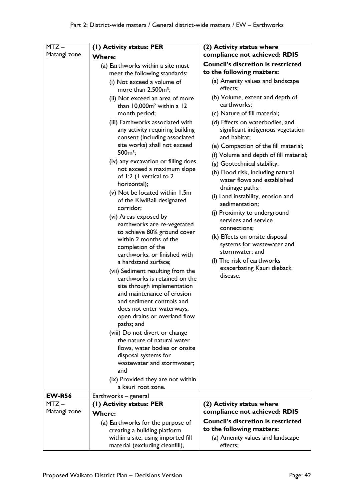| $MTZ -$                 | (I) Activity status: PER                                                                                                                                                                                                                                                                                                                                                                                                                                                                                                                                                                                                                                                                                                                                                                                                                                                                                                                                                                                                                                                                                        | (2) Activity status where                                                                                                                                                                                                                                                                                                                                                                                                                                                                                                                                                                                                                                                |
|-------------------------|-----------------------------------------------------------------------------------------------------------------------------------------------------------------------------------------------------------------------------------------------------------------------------------------------------------------------------------------------------------------------------------------------------------------------------------------------------------------------------------------------------------------------------------------------------------------------------------------------------------------------------------------------------------------------------------------------------------------------------------------------------------------------------------------------------------------------------------------------------------------------------------------------------------------------------------------------------------------------------------------------------------------------------------------------------------------------------------------------------------------|--------------------------------------------------------------------------------------------------------------------------------------------------------------------------------------------------------------------------------------------------------------------------------------------------------------------------------------------------------------------------------------------------------------------------------------------------------------------------------------------------------------------------------------------------------------------------------------------------------------------------------------------------------------------------|
| Matangi zone            | <b>Where:</b>                                                                                                                                                                                                                                                                                                                                                                                                                                                                                                                                                                                                                                                                                                                                                                                                                                                                                                                                                                                                                                                                                                   | compliance not achieved: RDIS                                                                                                                                                                                                                                                                                                                                                                                                                                                                                                                                                                                                                                            |
|                         | (a) Earthworks within a site must<br>meet the following standards:                                                                                                                                                                                                                                                                                                                                                                                                                                                                                                                                                                                                                                                                                                                                                                                                                                                                                                                                                                                                                                              | <b>Council's discretion is restricted</b><br>to the following matters:                                                                                                                                                                                                                                                                                                                                                                                                                                                                                                                                                                                                   |
|                         | (i) Not exceed a volume of<br>more than $2,500m^3$ ;                                                                                                                                                                                                                                                                                                                                                                                                                                                                                                                                                                                                                                                                                                                                                                                                                                                                                                                                                                                                                                                            | (a) Amenity values and landscape<br>effects;                                                                                                                                                                                                                                                                                                                                                                                                                                                                                                                                                                                                                             |
|                         | (ii) Not exceed an area of more<br>than 10,000m <sup>2</sup> within a 12<br>month period;<br>(iii) Earthworks associated with<br>any activity requiring building<br>consent (including associated<br>site works) shall not exceed<br>$500m^3$ ;<br>(iv) any excavation or filling does<br>not exceed a maximum slope<br>of I:2 (I vertical to 2<br>horizontal);<br>(v) Not be located within 1.5m<br>of the KiwiRail designated<br>corridor;<br>(vi) Areas exposed by<br>earthworks are re-vegetated<br>to achieve 80% ground cover<br>within 2 months of the<br>completion of the<br>earthworks, or finished with<br>a hardstand surface;<br>(vii) Sediment resulting from the<br>earthworks is retained on the<br>site through implementation<br>and maintenance of erosion<br>and sediment controls and<br>does not enter waterways,<br>open drains or overland flow<br>paths; and<br>(viii) Do not divert or change<br>the nature of natural water<br>flows, water bodies or onsite<br>disposal systems for<br>wastewater and stormwater;<br>and<br>(ix) Provided they are not within<br>a kauri root zone. | (b) Volume, extent and depth of<br>earthworks;<br>(c) Nature of fill material;<br>(d) Effects on waterbodies, and<br>significant indigenous vegetation<br>and habitat;<br>(e) Compaction of the fill material;<br>(f) Volume and depth of fill material;<br>(g) Geotechnical stability;<br>(h) Flood risk, including natural<br>water flows and established<br>drainage paths;<br>(i) Land instability, erosion and<br>sedimentation;<br>(j) Proximity to underground<br>services and service<br>connections;<br>(k) Effects on onsite disposal<br>systems for wastewater and<br>stormwater; and<br>(I) The risk of earthworks<br>exacerbating Kauri dieback<br>disease. |
| <b>EW-R56</b>           | Earthworks - general                                                                                                                                                                                                                                                                                                                                                                                                                                                                                                                                                                                                                                                                                                                                                                                                                                                                                                                                                                                                                                                                                            |                                                                                                                                                                                                                                                                                                                                                                                                                                                                                                                                                                                                                                                                          |
| $MTZ -$<br>Matangi zone | (1) Activity status: PER<br><b>Where:</b>                                                                                                                                                                                                                                                                                                                                                                                                                                                                                                                                                                                                                                                                                                                                                                                                                                                                                                                                                                                                                                                                       | (2) Activity status where<br>compliance not achieved: RDIS                                                                                                                                                                                                                                                                                                                                                                                                                                                                                                                                                                                                               |
|                         | (a) Earthworks for the purpose of                                                                                                                                                                                                                                                                                                                                                                                                                                                                                                                                                                                                                                                                                                                                                                                                                                                                                                                                                                                                                                                                               | <b>Council's discretion is restricted</b><br>to the following matters:                                                                                                                                                                                                                                                                                                                                                                                                                                                                                                                                                                                                   |
|                         | creating a building platform                                                                                                                                                                                                                                                                                                                                                                                                                                                                                                                                                                                                                                                                                                                                                                                                                                                                                                                                                                                                                                                                                    |                                                                                                                                                                                                                                                                                                                                                                                                                                                                                                                                                                                                                                                                          |
|                         | within a site, using imported fill<br>material (excluding cleanfill),                                                                                                                                                                                                                                                                                                                                                                                                                                                                                                                                                                                                                                                                                                                                                                                                                                                                                                                                                                                                                                           | (a) Amenity values and landscape<br>effects;                                                                                                                                                                                                                                                                                                                                                                                                                                                                                                                                                                                                                             |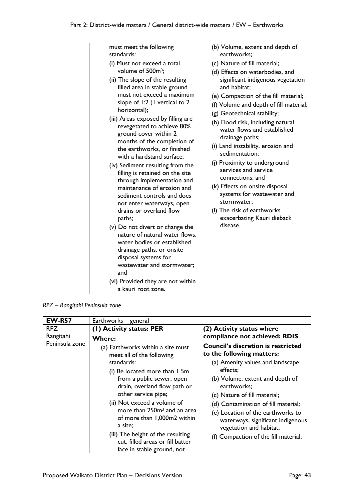| must meet the following<br>standards:<br>(i) Must not exceed a total<br>volume of 500m <sup>3</sup> ;<br>(ii) The slope of the resulting<br>filled area in stable ground<br>must not exceed a maximum<br>slope of 1:2 (1 vertical to 2<br>horizontal);<br>(iii) Areas exposed by filling are<br>revegetated to achieve 80%<br>ground cover within 2<br>months of the completion of<br>the earthworks, or finished<br>with a hardstand surface;<br>(iv) Sediment resulting from the<br>filling is retained on the site<br>through implementation and<br>maintenance of erosion and<br>sediment controls and does<br>not enter waterways, open<br>drains or overland flow<br>paths;<br>(v) Do not divert or change the<br>nature of natural water flows,<br>water bodies or established<br>drainage paths, or onsite<br>disposal systems for<br>wastewater and stormwater;<br>and<br>(vi) Provided they are not within<br>a kauri root zone. | (b) Volume, extent and depth of<br>earthworks;<br>(c) Nature of fill material;<br>(d) Effects on waterbodies, and<br>significant indigenous vegetation<br>and habitat;<br>(e) Compaction of the fill material;<br>(f) Volume and depth of fill material;<br>(g) Geotechnical stability;<br>(h) Flood risk, including natural<br>water flows and established<br>drainage paths;<br>(i) Land instability, erosion and<br>sedimentation;<br>(j) Proximity to underground<br>services and service<br>connections; and<br>(k) Effects on onsite disposal<br>systems for wastewater and<br>stormwater:<br>(I) The risk of earthworks<br>exacerbating Kauri dieback<br>disease. |
|--------------------------------------------------------------------------------------------------------------------------------------------------------------------------------------------------------------------------------------------------------------------------------------------------------------------------------------------------------------------------------------------------------------------------------------------------------------------------------------------------------------------------------------------------------------------------------------------------------------------------------------------------------------------------------------------------------------------------------------------------------------------------------------------------------------------------------------------------------------------------------------------------------------------------------------------|--------------------------------------------------------------------------------------------------------------------------------------------------------------------------------------------------------------------------------------------------------------------------------------------------------------------------------------------------------------------------------------------------------------------------------------------------------------------------------------------------------------------------------------------------------------------------------------------------------------------------------------------------------------------------|

*RPZ – Rangitahi Peninsula zone*

| <b>EW-R57</b>  | Earthworks - general                                                                                                                                                                      |                                                                                                                                                                                  |
|----------------|-------------------------------------------------------------------------------------------------------------------------------------------------------------------------------------------|----------------------------------------------------------------------------------------------------------------------------------------------------------------------------------|
| $R$ PZ $-$     | (1) Activity status: PER                                                                                                                                                                  | (2) Activity status where                                                                                                                                                        |
| Rangitahi      | <b>Where:</b>                                                                                                                                                                             | compliance not achieved: RDIS                                                                                                                                                    |
| Peninsula zone | (a) Earthworks within a site must<br>meet all of the following                                                                                                                            | <b>Council's discretion is restricted</b><br>to the following matters:                                                                                                           |
|                | standards:                                                                                                                                                                                | (a) Amenity values and landscape                                                                                                                                                 |
|                | (i) Be located more than 1.5m                                                                                                                                                             | effects;                                                                                                                                                                         |
|                | from a public sewer, open<br>drain, overland flow path or                                                                                                                                 | (b) Volume, extent and depth of<br>earthworks;                                                                                                                                   |
|                | other service pipe;                                                                                                                                                                       | (c) Nature of fill material;                                                                                                                                                     |
|                | (ii) Not exceed a volume of<br>more than 250m <sup>3</sup> and an area<br>of more than 1,000m2 within<br>a site:<br>(iii) The height of the resulting<br>cut, filled areas or fill batter | (d) Contamination of fill material;<br>(e) Location of the earthworks to<br>waterways, significant indigenous<br>vegetation and habitat;<br>(f) Compaction of the fill material; |
|                | face in stable ground, not                                                                                                                                                                |                                                                                                                                                                                  |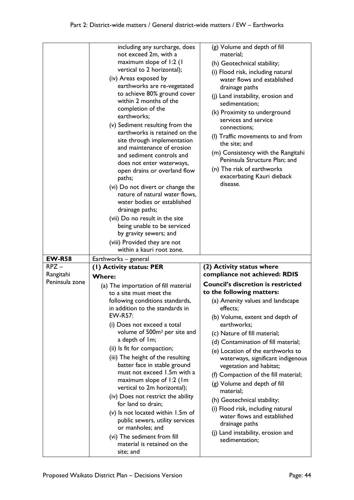|                | including any surcharge, does<br>not exceed 2m, with a<br>maximum slope of 1:2 (1<br>vertical to 2 horizontal);<br>(iv) Areas exposed by<br>earthworks are re-vegetated<br>to achieve 80% ground cover<br>within 2 months of the<br>completion of the<br>earthworks;<br>(v) Sediment resulting from the<br>earthworks is retained on the<br>site through implementation<br>and maintenance of erosion<br>and sediment controls and<br>does not enter waterways,<br>open drains or overland flow<br>paths;<br>(vi) Do not divert or change the<br>nature of natural water flows,<br>water bodies or established<br>drainage paths;<br>(vii) Do no result in the site<br>being unable to be serviced<br>by gravity sewers; and<br>(viii) Provided they are not<br>within a kauri root zone. | (g) Volume and depth of fill<br>material;<br>(h) Geotechnical stability;<br>(i) Flood risk, including natural<br>water flows and established<br>drainage paths<br>(j) Land instability, erosion and<br>sedimentation;<br>(k) Proximity to underground<br>services and service<br>connections;<br>(I) Traffic movements to and from<br>the site; and<br>(m) Consistency with the Rangitahi<br>Peninsula Structure Plan; and<br>(n) The risk of earthworks<br>exacerbating Kauri dieback<br>disease. |
|----------------|-------------------------------------------------------------------------------------------------------------------------------------------------------------------------------------------------------------------------------------------------------------------------------------------------------------------------------------------------------------------------------------------------------------------------------------------------------------------------------------------------------------------------------------------------------------------------------------------------------------------------------------------------------------------------------------------------------------------------------------------------------------------------------------------|----------------------------------------------------------------------------------------------------------------------------------------------------------------------------------------------------------------------------------------------------------------------------------------------------------------------------------------------------------------------------------------------------------------------------------------------------------------------------------------------------|
| <b>EW-R58</b>  | Earthworks – general                                                                                                                                                                                                                                                                                                                                                                                                                                                                                                                                                                                                                                                                                                                                                                      |                                                                                                                                                                                                                                                                                                                                                                                                                                                                                                    |
| $RPZ -$        | (I) Activity status: PER                                                                                                                                                                                                                                                                                                                                                                                                                                                                                                                                                                                                                                                                                                                                                                  | (2) Activity status where                                                                                                                                                                                                                                                                                                                                                                                                                                                                          |
|                |                                                                                                                                                                                                                                                                                                                                                                                                                                                                                                                                                                                                                                                                                                                                                                                           |                                                                                                                                                                                                                                                                                                                                                                                                                                                                                                    |
| Rangitahi      | <b>Where:</b>                                                                                                                                                                                                                                                                                                                                                                                                                                                                                                                                                                                                                                                                                                                                                                             | compliance not achieved: RDIS                                                                                                                                                                                                                                                                                                                                                                                                                                                                      |
| Peninsula zone | (a) The importation of fill material                                                                                                                                                                                                                                                                                                                                                                                                                                                                                                                                                                                                                                                                                                                                                      | <b>Council's discretion is restricted</b>                                                                                                                                                                                                                                                                                                                                                                                                                                                          |
|                | to a site must meet the                                                                                                                                                                                                                                                                                                                                                                                                                                                                                                                                                                                                                                                                                                                                                                   | to the following matters:                                                                                                                                                                                                                                                                                                                                                                                                                                                                          |
|                | following conditions standards,                                                                                                                                                                                                                                                                                                                                                                                                                                                                                                                                                                                                                                                                                                                                                           | (a) Amenity values and landscape                                                                                                                                                                                                                                                                                                                                                                                                                                                                   |
|                | in addition to the standards in<br>EW-R57:                                                                                                                                                                                                                                                                                                                                                                                                                                                                                                                                                                                                                                                                                                                                                | effects;                                                                                                                                                                                                                                                                                                                                                                                                                                                                                           |
|                | (i) Does not exceed a total                                                                                                                                                                                                                                                                                                                                                                                                                                                                                                                                                                                                                                                                                                                                                               | (b) Volume, extent and depth of<br>earthworks;                                                                                                                                                                                                                                                                                                                                                                                                                                                     |
|                | volume of 500m <sup>3</sup> per site and                                                                                                                                                                                                                                                                                                                                                                                                                                                                                                                                                                                                                                                                                                                                                  | (c) Nature of fill material;                                                                                                                                                                                                                                                                                                                                                                                                                                                                       |
|                | a depth of 1m;                                                                                                                                                                                                                                                                                                                                                                                                                                                                                                                                                                                                                                                                                                                                                                            | (d) Contamination of fill material;                                                                                                                                                                                                                                                                                                                                                                                                                                                                |
|                | (ii) Is fit for compaction;                                                                                                                                                                                                                                                                                                                                                                                                                                                                                                                                                                                                                                                                                                                                                               | (e) Location of the earthworks to                                                                                                                                                                                                                                                                                                                                                                                                                                                                  |
|                | (iii) The height of the resulting                                                                                                                                                                                                                                                                                                                                                                                                                                                                                                                                                                                                                                                                                                                                                         | waterways, significant indigenous                                                                                                                                                                                                                                                                                                                                                                                                                                                                  |
|                | batter face in stable ground                                                                                                                                                                                                                                                                                                                                                                                                                                                                                                                                                                                                                                                                                                                                                              | vegetation and habitat;                                                                                                                                                                                                                                                                                                                                                                                                                                                                            |
|                | must not exceed 1.5m with a                                                                                                                                                                                                                                                                                                                                                                                                                                                                                                                                                                                                                                                                                                                                                               | (f) Compaction of the fill material;                                                                                                                                                                                                                                                                                                                                                                                                                                                               |
|                | maximum slope of 1:2 (1m                                                                                                                                                                                                                                                                                                                                                                                                                                                                                                                                                                                                                                                                                                                                                                  | (g) Volume and depth of fill                                                                                                                                                                                                                                                                                                                                                                                                                                                                       |
|                | vertical to 2m horizontal);<br>(iv) Does not restrict the ability                                                                                                                                                                                                                                                                                                                                                                                                                                                                                                                                                                                                                                                                                                                         | material;                                                                                                                                                                                                                                                                                                                                                                                                                                                                                          |
|                | for land to drain;                                                                                                                                                                                                                                                                                                                                                                                                                                                                                                                                                                                                                                                                                                                                                                        | (h) Geotechnical stability;                                                                                                                                                                                                                                                                                                                                                                                                                                                                        |
|                | $(v)$ Is not located within 1.5m of                                                                                                                                                                                                                                                                                                                                                                                                                                                                                                                                                                                                                                                                                                                                                       | (i) Flood risk, including natural                                                                                                                                                                                                                                                                                                                                                                                                                                                                  |
|                | public sewers, utility services                                                                                                                                                                                                                                                                                                                                                                                                                                                                                                                                                                                                                                                                                                                                                           | water flows and established                                                                                                                                                                                                                                                                                                                                                                                                                                                                        |
|                | or manholes; and                                                                                                                                                                                                                                                                                                                                                                                                                                                                                                                                                                                                                                                                                                                                                                          | drainage paths<br>(j) Land instability, erosion and                                                                                                                                                                                                                                                                                                                                                                                                                                                |
|                | (vi) The sediment from fill<br>material is retained on the                                                                                                                                                                                                                                                                                                                                                                                                                                                                                                                                                                                                                                                                                                                                | sedimentation;                                                                                                                                                                                                                                                                                                                                                                                                                                                                                     |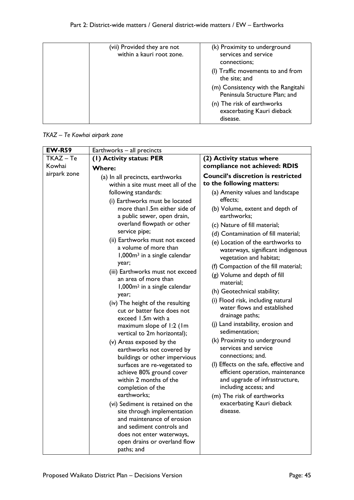| (vii) Provided they are not<br>within a kauri root zone. | (k) Proximity to underground<br>services and service<br>connections:<br>(I) Traffic movements to and from |
|----------------------------------------------------------|-----------------------------------------------------------------------------------------------------------|
|                                                          | the site; and<br>(m) Consistency with the Rangitahi<br>Peninsula Structure Plan; and                      |
|                                                          | (n) The risk of earthworks<br>exacerbating Kauri dieback<br>disease.                                      |

*TKAZ – Te Kowhai airpark zone*

| <b>EW-R59</b> | Earthworks - all precincts                                                                                                                                                                                                                                                                                                                                                                                                                                                                                                                                                                                                                                                                                                                                                                                                                                                                                                                                                                                                                           |                                                                                                                                                                                                                                                                                                                                                                                                                                                                         |
|---------------|------------------------------------------------------------------------------------------------------------------------------------------------------------------------------------------------------------------------------------------------------------------------------------------------------------------------------------------------------------------------------------------------------------------------------------------------------------------------------------------------------------------------------------------------------------------------------------------------------------------------------------------------------------------------------------------------------------------------------------------------------------------------------------------------------------------------------------------------------------------------------------------------------------------------------------------------------------------------------------------------------------------------------------------------------|-------------------------------------------------------------------------------------------------------------------------------------------------------------------------------------------------------------------------------------------------------------------------------------------------------------------------------------------------------------------------------------------------------------------------------------------------------------------------|
| $TKAZ - Te$   | (1) Activity status: PER                                                                                                                                                                                                                                                                                                                                                                                                                                                                                                                                                                                                                                                                                                                                                                                                                                                                                                                                                                                                                             | (2) Activity status where                                                                                                                                                                                                                                                                                                                                                                                                                                               |
| Kowhai        | Where:                                                                                                                                                                                                                                                                                                                                                                                                                                                                                                                                                                                                                                                                                                                                                                                                                                                                                                                                                                                                                                               | compliance not achieved: RDIS                                                                                                                                                                                                                                                                                                                                                                                                                                           |
| airpark zone  | (a) In all precincts, earthworks<br>within a site must meet all of the<br>following standards:<br>(i) Earthworks must be located<br>more than I.5m either side of<br>a public sewer, open drain,<br>overland flowpath or other<br>service pipe;<br>(ii) Earthworks must not exceed<br>a volume of more than<br>1,000m <sup>3</sup> in a single calendar<br>year;<br>(iii) Earthworks must not exceed<br>an area of more than<br>1,000m <sup>2</sup> in a single calendar<br>year;<br>(iv) The height of the resulting<br>cut or batter face does not<br>exceed 1.5m with a<br>maximum slope of 1:2 (1m<br>vertical to 2m horizontal);<br>(v) Areas exposed by the<br>earthworks not covered by<br>buildings or other impervious<br>surfaces are re-vegetated to<br>achieve 80% ground cover<br>within 2 months of the<br>completion of the<br>earthworks;<br>(vi) Sediment is retained on the<br>site through implementation<br>and maintenance of erosion<br>and sediment controls and<br>does not enter waterways,<br>open drains or overland flow | <b>Council's discretion is restricted</b><br>to the following matters:<br>(a) Amenity values and landscape<br>effects;<br>(b) Volume, extent and depth of<br>earthworks;<br>(c) Nature of fill material;<br>(d) Contamination of fill material;<br>(e) Location of the earthworks to<br>waterways, significant indigenous<br>vegetation and habitat;<br>(f) Compaction of the fill material;<br>(g) Volume and depth of fill<br>material;                               |
|               |                                                                                                                                                                                                                                                                                                                                                                                                                                                                                                                                                                                                                                                                                                                                                                                                                                                                                                                                                                                                                                                      | (h) Geotechnical stability;<br>(i) Flood risk, including natural<br>water flows and established<br>drainage paths;<br>(j) Land instability, erosion and<br>sedimentation;<br>(k) Proximity to underground<br>services and service<br>connections; and.<br>(I) Effects on the safe, effective and<br>efficient operation, maintenance<br>and upgrade of infrastructure,<br>including access; and<br>(m) The risk of earthworks<br>exacerbating Kauri dieback<br>disease. |